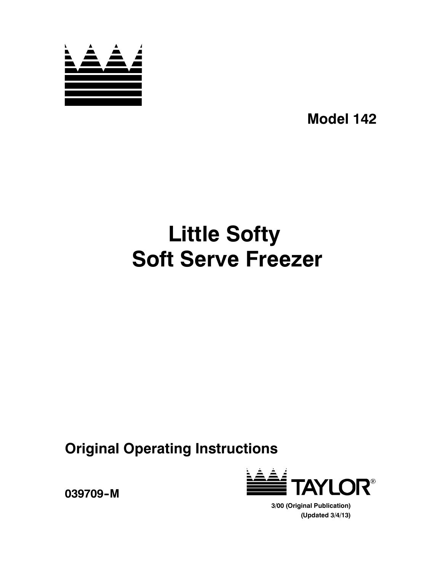

**Model 142**

# **Little Softy Soft Serve Freezer**

**Original Operating Instructions**



**039709--M**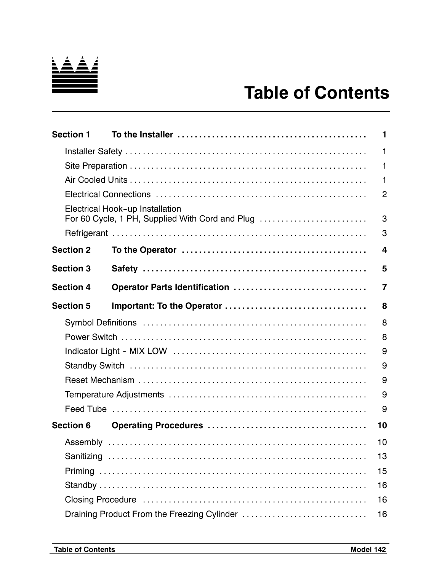

# **Table of Contents**

| <b>Section 1</b> |                                                                                    | 1              |
|------------------|------------------------------------------------------------------------------------|----------------|
|                  |                                                                                    | 1              |
|                  |                                                                                    | 1              |
|                  |                                                                                    | 1              |
|                  |                                                                                    | $\overline{2}$ |
|                  | Electrical Hook-up Installation<br>For 60 Cycle, 1 PH, Supplied With Cord and Plug | 3              |
|                  |                                                                                    | 3              |
| <b>Section 2</b> |                                                                                    | 4              |
| <b>Section 3</b> |                                                                                    | 5              |
| <b>Section 4</b> | Operator Parts Identification                                                      | $\overline{7}$ |
| <b>Section 5</b> |                                                                                    | 8              |
|                  |                                                                                    | 8              |
|                  |                                                                                    | 8              |
|                  |                                                                                    | 9              |
|                  |                                                                                    | 9              |
|                  |                                                                                    | 9              |
|                  |                                                                                    | 9              |
|                  |                                                                                    | 9              |
| <b>Section 6</b> |                                                                                    | 10             |
|                  |                                                                                    | 10             |
|                  |                                                                                    | 13             |
|                  |                                                                                    | 15             |
|                  |                                                                                    | 16             |
|                  |                                                                                    | 16             |
|                  | Draining Product From the Freezing Cylinder                                        | 16             |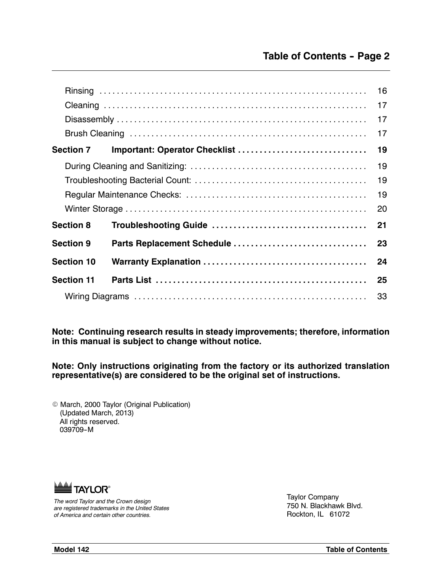|                   |                               | 16 |  |  |  |  |  |  |  |
|-------------------|-------------------------------|----|--|--|--|--|--|--|--|
|                   |                               | 17 |  |  |  |  |  |  |  |
|                   |                               | 17 |  |  |  |  |  |  |  |
|                   |                               | 17 |  |  |  |  |  |  |  |
| <b>Section 7</b>  | Important: Operator Checklist | 19 |  |  |  |  |  |  |  |
|                   |                               | 19 |  |  |  |  |  |  |  |
|                   |                               |    |  |  |  |  |  |  |  |
|                   |                               |    |  |  |  |  |  |  |  |
|                   |                               | 20 |  |  |  |  |  |  |  |
| <b>Section 8</b>  |                               | 21 |  |  |  |  |  |  |  |
| <b>Section 9</b>  | Parts Replacement Schedule    | 23 |  |  |  |  |  |  |  |
| <b>Section 10</b> |                               | 24 |  |  |  |  |  |  |  |
| <b>Section 11</b> |                               | 25 |  |  |  |  |  |  |  |
|                   | 33                            |    |  |  |  |  |  |  |  |

**Note: Continuing research results in steady improvements; therefore, information in this manual is subject to change without notice.**

**Note: Only instructions originating from the factory or its authorized translation representative(s) are considered to be the original set of instructions.**

 $©$  March, 2000 Taylor (Original Publication) (Updated March, 2013) All rights reserved. 039709-M



*The word Taylor and the Crown design are registered trademarks in the United States of America and certain other countries.*

Taylor Company 750 N. Blackhawk Blvd. Rockton, IL 61072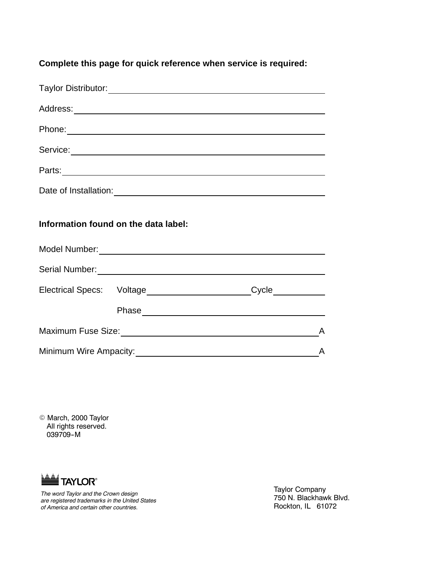**Complete this page for quick reference when service is required:**

| Phone: Note: 2008 Phone: 2009 Phone: 2009 Phone: 2009 Phone: 2009 Phone: 2009 Phone: 2009 Phone: 2009 Phone: 2009 Phone: 2009 Phone: 2009 Phone: 2009 Phone: 2009 Phone: 2009 Phone: 2009 Phone: 2009 Phone: 2009 Phone: 2009        |  |   |
|--------------------------------------------------------------------------------------------------------------------------------------------------------------------------------------------------------------------------------------|--|---|
| Service: <u>Contract Communication</u>                                                                                                                                                                                               |  |   |
|                                                                                                                                                                                                                                      |  |   |
|                                                                                                                                                                                                                                      |  |   |
| Information found on the data label:                                                                                                                                                                                                 |  |   |
|                                                                                                                                                                                                                                      |  |   |
| Serial Number: <b>Manual Accord Serial Accord Serial Accord Serial Accord Serial Accord Serial Accord Serial Accord Serial Accord Serial Accord Serial Accord Serial Accord Serial Accord Serial Accord Serial Accord Serial Acc</b> |  |   |
| Electrical Specs: Voltage______________________Cycle___________                                                                                                                                                                      |  |   |
|                                                                                                                                                                                                                                      |  |   |
|                                                                                                                                                                                                                                      |  | A |
| Minimum Wire Ampacity:                                                                                                                                                                                                               |  | A |

© March, 2000 Taylor All rights reserved. 039709-M



*The word Taylor and the Crown design are registered trademarks in the United States of America and certain other countries.*

Taylor Company 750 N. Blackhawk Blvd. Rockton, IL 61072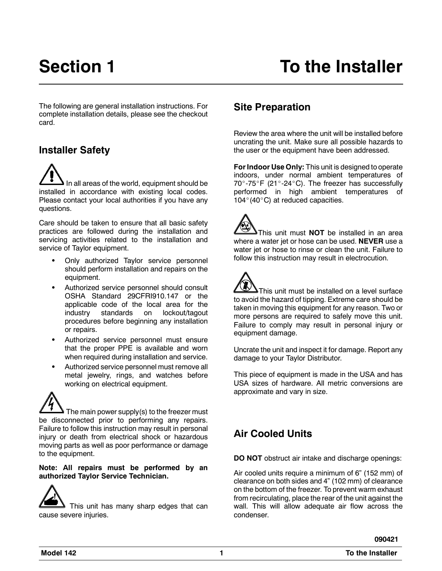The following are general installation instructions. For complete installation details, please see the checkout card.

# **Installer Safety**

In all areas of the world, equipment should be installed in accordance with existing local codes. Please contact your local authorities if you have any questions.

Care should be taken to ensure that all basic safety practices are followed during the installation and servicing activities related to the installation and service of Taylor equipment.

- Only authorized Taylor service personnel should perform installation and repairs on the equipment.
- Authorized service personnel should consult OSHA Standard 29CFRI910.147 or the applicable code of the local area for the industry standards on lockout/tagout procedures before beginning any installation or repairs.
- Authorized service personnel must ensure that the proper PPE is available and worn when required during installation and service.
- Authorized service personnel must remove all metal jewelry, rings, and watches before working on electrical equipment.

The main power supply(s) to the freezer must be disconnected prior to performing any repairs. Failure to follow this instruction may result in personal injury or death from electrical shock or hazardous moving parts as well as poor performance or damage to the equipment.

#### **Note: All repairs must be performed by an authorized Taylor Service Technician.**

This unit has many sharp edges that can cause severe injuries.

# **Site Preparation**

Review the area where the unit will be installed before uncrating the unit. Make sure all possible hazards to the user or the equipment have been addressed.

**For Indoor Use Only:** This unit is designed to operate indoors, under normal ambient temperatures of  $70^\circ$ -75 $^\circ$ F (21 $^\circ$ -24 $^\circ$ C). The freezer has successfully performed in high ambient temperatures of 104 $^{\circ}$ (40 $^{\circ}$ C) at reduced capacities.

This unit must **NOT** be installed in an area where a water jet or hose can be used. **NEVER** use a water jet or hose to rinse or clean the unit. Failure to follow this instruction may result in electrocution.

This unit must be installed on a level surface to avoid the hazard of tipping. Extreme care should be taken in moving this equipment for any reason. Two or more persons are required to safely move this unit. Failure to comply may result in personal injury or equipment damage.

Uncrate the unit and inspect it for damage. Report any damage to your Taylor Distributor.

This piece of equipment is made in the USA and has USA sizes of hardware. All metric conversions are approximate and vary in size.

# **Air Cooled Units**

**DO NOT** obstruct air intake and discharge openings:

Air cooled units require a minimum of 6" (152 mm) of clearance on both sides and 4" (102 mm) of clearance on the bottom of the freezer. To prevent warm exhaust from recirculating, place the rear of the unit against the wall. This will allow adequate air flow across the condenser.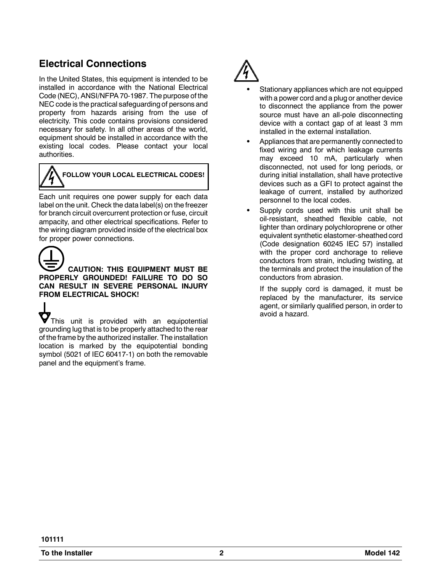# **Electrical Connections**

In the United States, this equipment is intended to be installed in accordance with the National Electrical Code (NEC), ANSI/NFPA 70-1987. The purpose of the NEC code is the practical safeguarding of persons and property from hazards arising from the use of electricity. This code contains provisions considered necessary for safety. In all other areas of the world, equipment should be installed in accordance with the existing local codes. Please contact your local authorities.



# **FOLLOW YOUR LOCAL ELECTRICAL CODES!**

Each unit requires one power supply for each data label on the unit. Check the data label(s) on the freezer for branch circuit overcurrent protection or fuse, circuit ampacity, and other electrical specifications. Refer to the wiring diagram provided inside of the electrical box for proper power connections.

# **CAUTION: THIS EQUIPMENT MUST BE PROPERLY GROUNDED! FAILURE TO DO SO CAN RESULT IN SEVERE PERSONAL INJURY FROM ELECTRICAL SHOCK!**

 $\bullet$  This unit is provided with an equipotential grounding lug that is to be properly attached to the rear of the frame by the authorized installer. The installation location is marked by the equipotential bonding symbol (5021 of IEC 60417-1) on both the removable panel and the equipment's frame.



- Stationary appliances which are not equipped with a power cord and a plug or another device to disconnect the appliance from the power source must have an all-pole disconnecting device with a contact gap of at least 3 mm installed in the external installation.
- Appliances that are permanently connected to fixed wiring and for which leakage currents may exceed 10 mA, particularly when disconnected, not used for long periods, or during initial installation, shall have protective devices such as a GFI to protect against the leakage of current, installed by authorized personnel to the local codes.
- Supply cords used with this unit shall be oil-resistant, sheathed flexible cable, not lighter than ordinary polychloroprene or other equivalent synthetic elastomer-sheathed cord (Code designation 60245 IEC 57) installed with the proper cord anchorage to relieve conductors from strain, including twisting, at the terminals and protect the insulation of the conductors from abrasion.

If the supply cord is damaged, it must be replaced by the manufacturer, its service agent, or similarly qualified person, in order to avoid a hazard.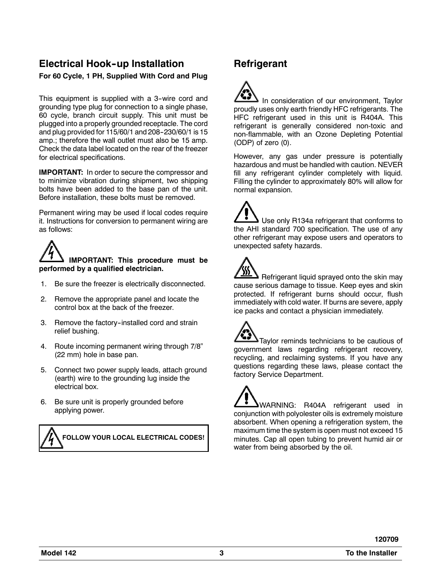## **Electrical Hook--up Installation For 60 Cycle, 1 PH, Supplied With Cord and Plug**

This equipment is supplied with a 3-wire cord and grounding type plug for connection to a single phase, 60 cycle, branch circuit supply. This unit must be plugged into a properly grounded receptacle. The cord and plug provided for 115/60/1 and 208-230/60/1 is 15 amp.; therefore the wall outlet must also be 15 amp. Check the data label located on the rear of the freezer for electrical specifications.

**IMPORTANT:** In order to secure the compressor and to minimize vibration during shipment, two shipping bolts have been added to the base pan of the unit. Before installation, these bolts must be removed.

Permanent wiring may be used if local codes require it. Instructions for conversion to permanent wiring are as follows:

# **IMPORTANT: This procedure must be performed by a qualified electrician.**

- 1. Be sure the freezer is electrically disconnected.
- 2. Remove the appropriate panel and locate the control box at the back of the freezer.
- 3. Remove the factory-installed cord and strain relief bushing.
- 4. Route incoming permanent wiring through 7/8" (22 mm) hole in base pan.
- 5. Connect two power supply leads, attach ground (earth) wire to the grounding lug inside the electrical box.
- 6. Be sure unit is properly grounded before applying power.



# **Refrigerant**

In consideration of our environment, Taylor proudly uses only earth friendly HFC refrigerants. The HFC refrigerant used in this unit is R404A. This refrigerant is generally considered non-toxic and non-flammable, with an Ozone Depleting Potential (ODP) of zero (0).

However, any gas under pressure is potentially hazardous and must be handled with caution. NEVER fill any refrigerant cylinder completely with liquid. Filling the cylinder to approximately 80% will allow for normal expansion.

Use only R134a refrigerant that conforms to the AHI standard 700 specification. The use of any other refrigerant may expose users and operators to unexpected safety hazards.

Refrigerant liquid sprayed onto the skin may cause serious damage to tissue. Keep eyes and skin protected. If refrigerant burns should occur, flush immediately with cold water. If burns are severe, apply ice packs and contact a physician immediately.

Taylor reminds technicians to be cautious of government laws regarding refrigerant recovery, recycling, and reclaiming systems. If you have any questions regarding these laws, please contact the factory Service Department.

WARNING: R404A refrigerant used in conjunction with polyolester oils is extremely moisture absorbent. When opening a refrigeration system, the maximum time the system is open must not exceed 15 minutes. Cap all open tubing to prevent humid air or water from being absorbed by the oil.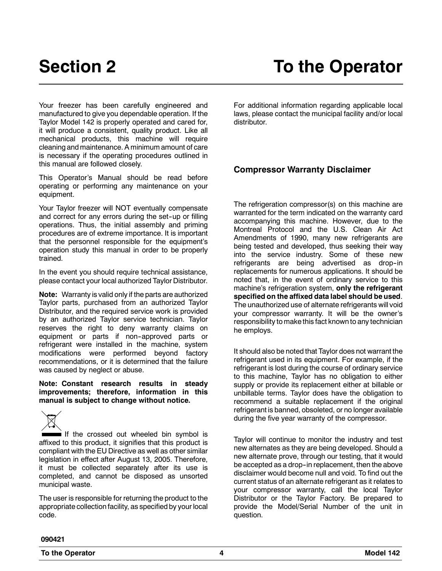Your freezer has been carefully engineered and manufactured to give you dependable operation. If the Taylor Model 142 is properly operated and cared for, it will produce a consistent, quality product. Like all mechanical products, this machine will require cleaning and maintenance. A minimum amount of care is necessary if the operating procedures outlined in this manual are followed closely.

This Operator's Manual should be read before operating or performing any maintenance on your equipment.

Your Taylor freezer will NOT eventually compensate and correct for any errors during the set-up or filling operations. Thus, the initial assembly and priming procedures are of extreme importance. It is important that the personnel responsible for the equipment's operation study this manual in order to be properly trained.

In the event you should require technical assistance, please contact your local authorized Taylor Distributor.

**Note:** Warranty is valid only if the parts are authorized Taylor parts, purchased from an authorized Taylor Distributor, and the required service work is provided by an authorized Taylor service technician. Taylor reserves the right to deny warranty claims on equipment or parts if non-approved parts or refrigerant were installed in the machine, system modifications were performed beyond factory recommendations, or it is determined that the failure was caused by neglect or abuse.

**Note: Constant research results in steady improvements; therefore, information in this manual is subject to change without notice.**



If the crossed out wheeled bin symbol is affixed to this product, it signifies that this product is compliant with the EU Directive as well as other similar legislation in effect after August 13, 2005. Therefore, it must be collected separately after its use is completed, and cannot be disposed as unsorted municipal waste.

The user is responsible for returning the product to the appropriate collection facility, as specified by your local code.

For additional information regarding applicable local laws, please contact the municipal facility and/or local distributor.

### **Compressor Warranty Disclaimer**

The refrigeration compressor(s) on this machine are warranted for the term indicated on the warranty card accompanying this machine. However, due to the Montreal Protocol and the U.S. Clean Air Act Amendments of 1990, many new refrigerants are being tested and developed, thus seeking their way into the service industry. Some of these new refrigerants are being advertised as drop-in replacements for numerous applications. It should be noted that, in the event of ordinary service to this machine's refrigeration system, **only the refrigerant specified on the affixed data label should be used**. The unauthorized use of alternate refrigerants will void your compressor warranty. It will be the owner's responsibility to make this fact known to any technician he employs.

It should also be noted that Taylor does not warrant the refrigerant used in its equipment. For example, if the refrigerant is lost during the course of ordinary service to this machine, Taylor has no obligation to either supply or provide its replacement either at billable or unbillable terms. Taylor does have the obligation to recommend a suitable replacement if the original refrigerant is banned, obsoleted, or no longer available during the five year warranty of the compressor.

Taylor will continue to monitor the industry and test new alternates as they are being developed. Should a new alternate prove, through our testing, that it would be accepted as a drop-in replacement, then the above disclaimer would become null and void. To find out the current status of an alternate refrigerant as it relates to your compressor warranty, call the local Taylor Distributor or the Taylor Factory. Be prepared to provide the Model/Serial Number of the unit in question.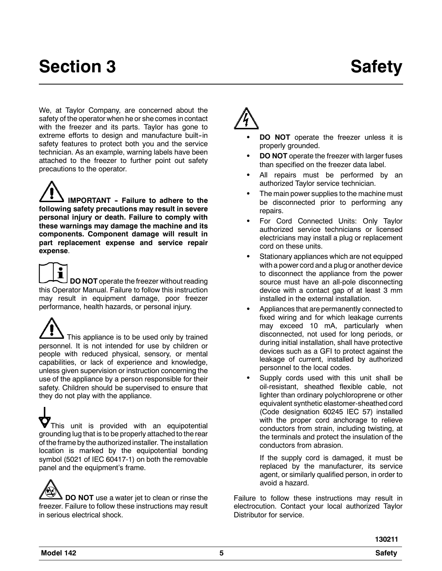# **Section 3** Safety

We, at Taylor Company, are concerned about the safety of the operator when he or she comes in contact with the freezer and its parts. Taylor has gone to extreme efforts to design and manufacture built-in safety features to protect both you and the service technician. As an example, warning labels have been attached to the freezer to further point out safety precautions to the operator.

**IMPORTANT -- Failure to adhere to the following safety precautions may result in severe personal injury or death. Failure to comply with these warnings may damage the machine and its components. Component damage will result in part replacement expense and service repair expense**.

í **DO NOT** operate the freezer without reading this Operator Manual. Failure to follow this instruction may result in equipment damage, poor freezer performance, health hazards, or personal injury.

 $\blacktriangleright$  This appliance is to be used only by trained personnel. It is not intended for use by children or people with reduced physical, sensory, or mental capabilities, or lack of experience and knowledge, unless given supervision or instruction concerning the use of the appliance by a person responsible for their safety. Children should be supervised to ensure that they do not play with the appliance.

This unit is provided with an equipotential grounding lug that is to be properly attached to the rear of the frame by the authorized installer. The installation location is marked by the equipotential bonding symbol (5021 of IEC 60417-1) on both the removable panel and the equipment's frame.

**DO NOT** use a water jet to clean or rinse the freezer. Failure to follow these instructions may result in serious electrical shock.

- **DO NOT** operate the freezer unless it is properly grounded.
- **DO NOT** operate the freezer with larger fuses than specified on the freezer data label.
- All repairs must be performed by an authorized Taylor service technician.
- The main power supplies to the machine must be disconnected prior to performing any repairs.
- For Cord Connected Units: Only Taylor authorized service technicians or licensed electricians may install a plug or replacement cord on these units.
- Stationary appliances which are not equipped with a power cord and a plug or another device to disconnect the appliance from the power source must have an all-pole disconnecting device with a contact gap of at least 3 mm installed in the external installation.
- Appliances that are permanently connected to fixed wiring and for which leakage currents may exceed 10 mA, particularly when disconnected, not used for long periods, or during initial installation, shall have protective devices such as a GFI to protect against the leakage of current, installed by authorized personnel to the local codes.
- Supply cords used with this unit shall be oil-resistant, sheathed flexible cable, not lighter than ordinary polychloroprene or other equivalent synthetic elastomer-sheathed cord (Code designation 60245 IEC 57) installed with the proper cord anchorage to relieve conductors from strain, including twisting, at the terminals and protect the insulation of the conductors from abrasion.

If the supply cord is damaged, it must be replaced by the manufacturer, its service agent, or similarly qualified person, in order to avoid a hazard.

Failure to follow these instructions may result in electrocution. Contact your local authorized Taylor Distributor for service.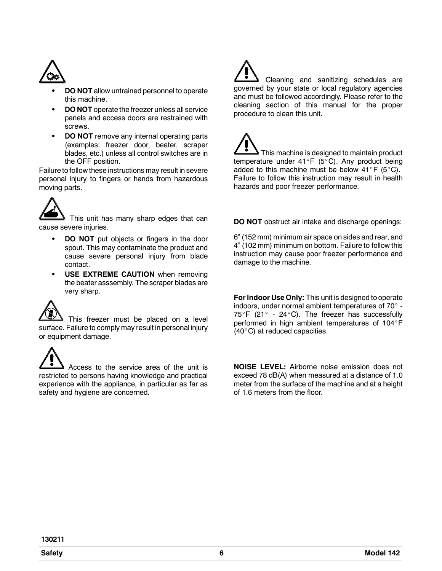

- **DO NOT** allow untrained personnel to operate this machine.
- **DO NOT** operate the freezer unless all service panels and access doors are restrained with screws.
- **DO NOT** remove any internal operating parts (examples: freezer door, beater, scraper blades, etc.) unless all control switches are in the OFF position.

Failure to follow these instructions may result in severe personal injury to fingers or hands from hazardous moving parts.



This unit has many sharp edges that can cause severe injuries.

- **DO NOT** put objects or fingers in the door spout. This may contaminate the product and cause severe personal injury from blade contact.
- **USE EXTREME CAUTION** when removing the beater asssembly. The scraper blades are very sharp.



This freezer must be placed on a level surface. Failure to comply may result in personal injury or equipment damage.

Access to the service area of the unit is restricted to persons having knowledge and practical experience with the appliance, in particular as far as safety and hygiene are concerned.

Cleaning and sanitizing schedules are governed by your state or local regulatory agencies and must be followed accordingly. Please refer to the cleaning section of this manual for the proper procedure to clean this unit.

This machine is designed to maintain product temperature under 41°F (5°C). Any product being added to this machine must be below  $41^\circ$ F (5 $^\circ$ C). Failure to follow this instruction may result in health hazards and poor freezer performance.

**DO NOT** obstruct air intake and discharge openings:

6" (152 mm) minimum air space on sides and rear, and 4" (102 mm) minimum on bottom. Failure to follow this instruction may cause poor freezer performance and damage to the machine.

**For Indoor Use Only:** This unit is designed to operate indoors, under normal ambient temperatures of  $70^\circ$  - $75^\circ$ F (21° - 24°C). The freezer has successfully performed in high ambient temperatures of 104°F  $(40^{\circ}C)$  at reduced capacities.

**NOISE LEVEL:** Airborne noise emission does not exceed 78 dB(A) when measured at a distance of 1.0 meter from the surface of the machine and at a height of 1.6 meters from the floor.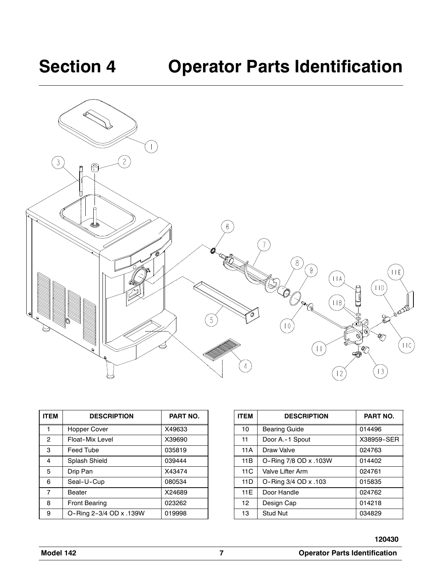

| <b>ITEM</b> | <b>DESCRIPTION</b>      | PART NO. |
|-------------|-------------------------|----------|
| 1           | Hopper Cover            | X49633   |
| 2           | Float-Mix Level         | X39690   |
| 3           | Feed Tube               | 035819   |
| 4           | Splash Shield           | 039444   |
| 5           | Drip Pan                | X43474   |
| 6           | Seal-U-Cup              | 080534   |
| 7           | Beater                  | X24689   |
| 8           | <b>Front Bearing</b>    | 023262   |
| 9           | O-Ring 2-3/4 OD x .139W | 019998   |

| <b>ITEM</b> | <b>DESCRIPTION</b>    | PART NO.   |
|-------------|-----------------------|------------|
| 10          | <b>Bearing Guide</b>  | 014496     |
| 11          | Door A.-1 Spout       | X38959-SER |
| 11A         | Draw Valve            | 024763     |
| 11B         | O-Ring 7/8 OD x .103W | 014402     |
| 11C         | Valve Lifter Arm      | 024761     |
| 11D         | O-Ring 3/4 OD x .103  | 015835     |
| 11E         | Door Handle           | 024762     |
| 12          | Design Cap            | 014218     |
| 13          | <b>Stud Nut</b>       | 034829     |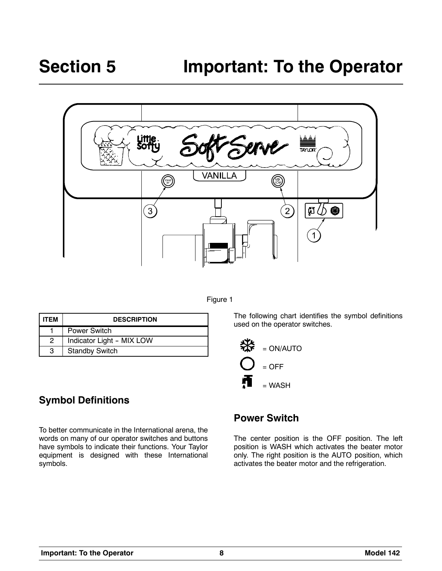



| <b>ITFM</b> | <b>DESCRIPTION</b>        |
|-------------|---------------------------|
|             | Power Switch              |
| 2           | Indicator Light - MIX LOW |
| з           | <b>Standby Switch</b>     |

**Symbol Definitions**

To better communicate in the International arena, the words on many of our operator switches and buttons have symbols to indicate their functions. Your Taylor equipment is designed with these International symbols.

# **Power Switch**

used on the operator switches.

= ON/AUTO

 $=$  OFF

₩

 $=$  WASH

The center position is the OFF position. The left position is WASH which activates the beater motor only. The right position is the AUTO position, which activates the beater motor and the refrigeration.

The following chart identifies the symbol definitions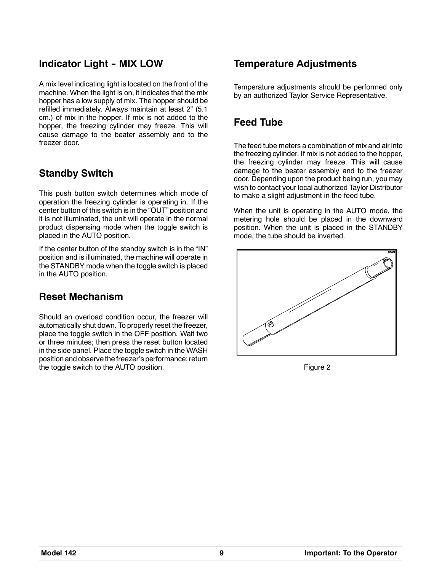# **Indicator Light - MIX LOW**

A mix level indicating light is located on the front of the machine. When the light is on, it indicates that the mix hopper has a low supply of mix. The hopper should be refilled immediately. Always maintain at least 2" (5.1 cm.) of mix in the hopper. If mix is not added to the hopper, the freezing cylinder may freeze. This will cause damage to the beater assembly and to the freezer door.

# **Standby Switch**

This push button switch determines which mode of operation the freezing cylinder is operating in. If the center button of this switch is in the "OUT" position and it is not illuminated, the unit will operate in the normal product dispensing mode when the toggle switch is placed in the AUTO position.

If the center button of the standby switch is in the "IN" position and is illuminated, the machine will operate in the STANDBY mode when the toggle switch is placed in the AUTO position.

# **Reset Mechanism**

Should an overload condition occur, the freezer will automatically shut down. To properly reset the freezer, place the toggle switch in the OFF position. Wait two or three minutes; then press the reset button located in the side panel. Place the toggle switch in the WASH position and observe the freezer's performance; return the toggle switch to the AUTO position.

# **Temperature Adjustments**

Temperature adjustments should be performed only by an authorized Taylor Service Representative.

# **Feed Tube**

The feed tube meters a combination of mix and air into the freezing cylinder. If mix is not added to the hopper, the freezing cylinder may freeze. This will cause damage to the beater assembly and to the freezer door. Depending upon the product being run, you may wish to contact your local authorized Taylor Distributor to make a slight adjustment in the feed tube.

When the unit is operating in the AUTO mode, the metering hole should be placed in the downward position. When the unit is placed in the STANDBY mode, the tube should be inverted.



Figure 2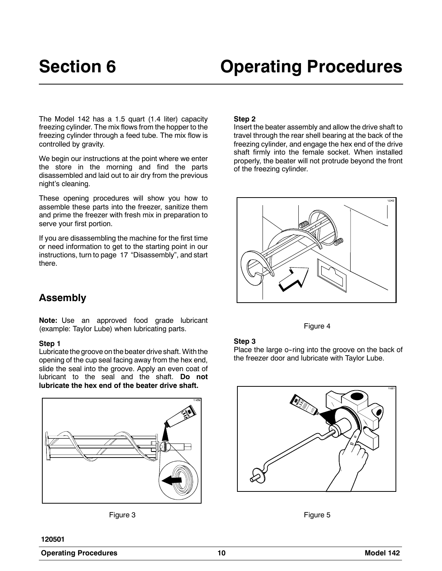The Model 142 has a 1.5 quart (1.4 liter) capacity freezing cylinder. The mix flows from the hopper to the freezing cylinder through a feed tube. The mix flow is controlled by gravity.

We begin our instructions at the point where we enter the store in the morning and find the parts disassembled and laid out to air dry from the previous night's cleaning.

These opening procedures will show you how to assemble these parts into the freezer, sanitize them and prime the freezer with fresh mix in preparation to serve your first portion.

If you are disassembling the machine for the first time or need information to get to the starting point in our instructions, turn to page 17 "Disassembly", and start there.

#### **Step 2**

Insert the beater assembly and allow the drive shaft to travel through the rear shell bearing at the back of the freezing cylinder, and engage the hex end of the drive shaft firmly into the female socket. When installed properly, the beater will not protrude beyond the front of the freezing cylinder.



#### Figure 4

#### **Step 3**

Place the large o-ring into the groove on the back of the freezer door and lubricate with Taylor Lube.





# **Assembly**

**Note:** Use an approved food grade lubricant (example: Taylor Lube) when lubricating parts.

#### **Step 1**

Lubricate the groove on the beater drive shaft. With the opening of the cup seal facing away from the hex end, slide the seal into the groove. Apply an even coat of lubricant to the seal and the shaft. **Do not lubricate the hex end of the beater drive shaft.**



Figure 3

**120501**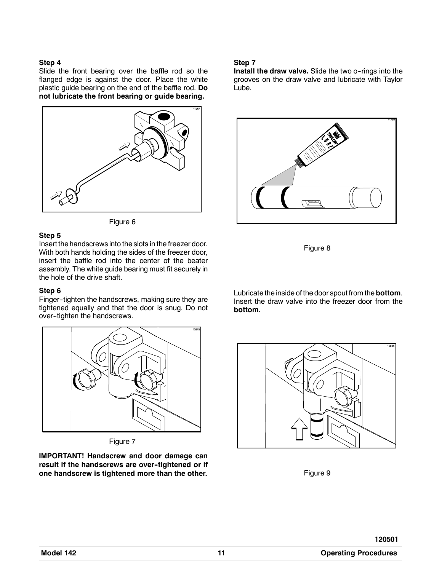#### **Step 4**

Slide the front bearing over the baffle rod so the flanged edge is against the door. Place the white plastic guide bearing on the end of the baffle rod. **Do not lubricate the front bearing or guide bearing.**





#### **Step 5**

Insert the handscrews into the slots in the freezer door. With both hands holding the sides of the freezer door, insert the baffle rod into the center of the beater assembly. The white guide bearing must fit securely in the hole of the drive shaft.

#### **Step 6**

Finger--tighten the handscrews, making sure they are tightened equally and that the door is snug. Do not over-tighten the handscrews.



Figure 7

**IMPORTANT! Handscrew and door damage can** result if the handscrews are over-tightened or if **one handscrew is tightened more than the other.**

#### **Step 7**

**Install the draw valve.** Slide the two o-rings into the grooves on the draw valve and lubricate with Taylor Lube.



Figure 8

Lubricate the inside of the door spout from the **bottom**. Insert the draw valve into the freezer door from the **bottom**.



Figure 9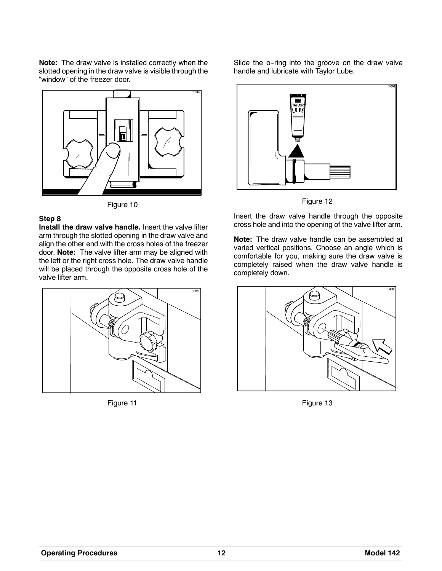**Note:** The draw valve is installed correctly when the slotted opening in the draw valve is visible through the "window" of the freezer door.



Figure 10

#### **Step 8**

**Install the draw valve handle.** Insert the valve lifter arm through the slotted opening in the draw valve and align the other end with the cross holes of the freezer door. **Note:** The valve lifter arm may be aligned with the left or the right cross hole. The draw valve handle will be placed through the opposite cross hole of the valve lifter arm.



Figure 11

Slide the o-ring into the groove on the draw valve handle and lubricate with Taylor Lube.



Figure 12

Insert the draw valve handle through the opposite cross hole and into the opening of the valve lifter arm.

**Note:** The draw valve handle can be assembled at varied vertical positions. Choose an angle which is comfortable for you, making sure the draw valve is completely raised when the draw valve handle is completely down.



Figure 13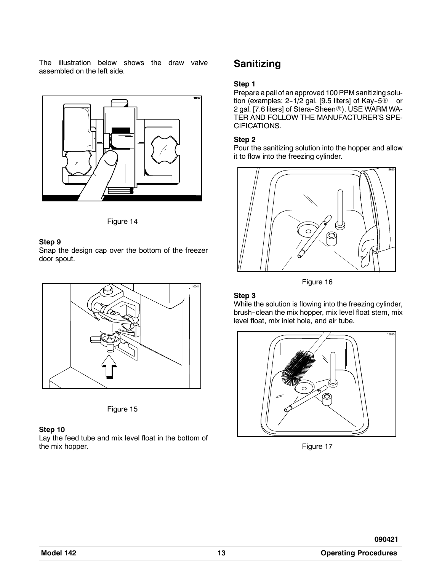The illustration below shows the draw valve assembled on the left side.





#### **Step 9**

Snap the design cap over the bottom of the freezer door spout.





#### **Step 10**

Lay the feed tube and mix level float in the bottom of the mix hopper.

# **Sanitizing**

#### **Step 1**

Prepare a pail of an approved 100 PPM sanitizing solution (examples:  $2-1/2$  gal. [9.5 liters] of Kay-5 $@$  or 2 gal. [7.6 liters] of Stera-Sheen®). USE WARM WA-TER AND FOLLOW THE MANUFACTURER'S SPE-CIFICATIONS.

#### **Step 2**

Pour the sanitizing solution into the hopper and allow it to flow into the freezing cylinder.





#### **Step 3**

While the solution is flowing into the freezing cylinder, brush--clean the mix hopper, mix level float stem, mix level float, mix inlet hole, and air tube.



Figure 17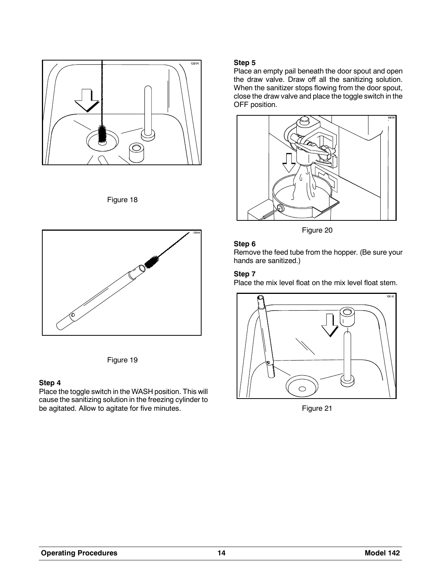

Figure 18





#### **Step 4**

Place the toggle switch in the WASH position. This will cause the sanitizing solution in the freezing cylinder to be agitated. Allow to agitate for five minutes.

#### **Step 5**

Place an empty pail beneath the door spout and open the draw valve. Draw off all the sanitizing solution. When the sanitizer stops flowing from the door spout, close the draw valve and place the toggle switch in the OFF position.



Figure 20

#### **Step 6**

Remove the feed tube from the hopper. (Be sure your hands are sanitized.)

#### **Step 7**

Place the mix level float on the mix level float stem.



Figure 21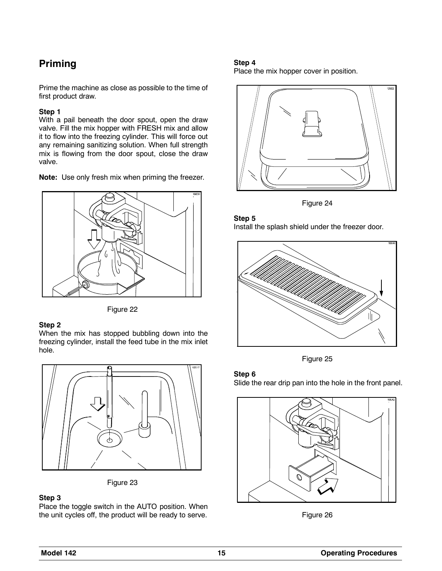# **Priming**

Prime the machine as close as possible to the time of first product draw.

#### **Step 1**

With a pail beneath the door spout, open the draw valve. Fill the mix hopper with FRESH mix and allow it to flow into the freezing cylinder. This will force out any remaining sanitizing solution. When full strength mix is flowing from the door spout, close the draw valve.

**Note:** Use only fresh mix when priming the freezer.



Figure 22

#### **Step 2**

When the mix has stopped bubbling down into the freezing cylinder, install the feed tube in the mix inlet hole.



Figure 23

### **Step 3**

Place the toggle switch in the AUTO position. When the unit cycles off, the product will be ready to serve.

#### **Step 4**

Place the mix hopper cover in position.



Figure 24





Figure 25

#### **Step 6**

Slide the rear drip pan into the hole in the front panel.



Figure 26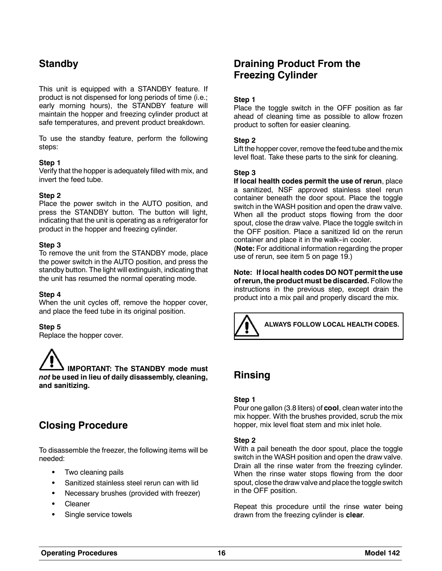# **Standby**

This unit is equipped with a STANDBY feature. If product is not dispensed for long periods of time (i.e.; early morning hours), the STANDBY feature will maintain the hopper and freezing cylinder product at safe temperatures, and prevent product breakdown.

To use the standby feature, perform the following steps:

#### **Step 1**

Verify that the hopper is adequately filled with mix, and invert the feed tube.

#### **Step 2**

Place the power switch in the AUTO position, and press the STANDBY button. The button will light, indicating that the unit is operating as a refrigerator for product in the hopper and freezing cylinder.

#### **Step 3**

To remove the unit from the STANDBY mode, place the power switch in the AUTO position, and press the standby button. The light will extinguish, indicating that the unit has resumed the normal operating mode.

#### **Step 4**

When the unit cycles off, remove the hopper cover, and place the feed tube in its original position.

#### **Step 5**

Replace the hopper cover.

**IMPORTANT: The STANDBY mode must** *not* **be used in lieu of daily disassembly, cleaning, and sanitizing.**

# **Closing Procedure**

To disassemble the freezer, the following items will be needed:

- Two cleaning pails
- Sanitized stainless steel rerun can with lid
- Necessary brushes (provided with freezer)
- Cleaner
- Single service towels

# **Draining Product From the Freezing Cylinder**

#### **Step 1**

Place the toggle switch in the OFF position as far ahead of cleaning time as possible to allow frozen product to soften for easier cleaning.

#### **Step 2**

Lift the hopper cover, remove the feed tube and themix level float. Take these parts to the sink for cleaning.

#### **Step 3**

**If local health codes permit the use of rerun**, place a sanitized, NSF approved stainless steel rerun container beneath the door spout. Place the toggle switch in the WASH position and open the draw valve. When all the product stops flowing from the door spout, close the draw valve. Place the toggle switch in the OFF position. Place a sanitized lid on the rerun container and place it in the walk-in cooler.

(**Note:** For additional information regarding the proper use of rerun, see item 5 on page 19.)

**Note: If local health codes DO NOT permit the use of rerun, the product must be discarded.** Follow the instructions in the previous step, except drain the product into a mix pail and properly discard the mix.



# **Rinsing**

#### **Step 1**

Pour one gallon (3.8 liters) of **cool**, clean water into the mix hopper. With the brushes provided, scrub the mix hopper, mix level float stem and mix inlet hole.

#### **Step 2**

With a pail beneath the door spout, place the toggle switch in the WASH position and open the draw valve. Drain all the rinse water from the freezing cylinder. When the rinse water stops flowing from the door spout, close the draw valve and place the toggle switch in the OFF position.

Repeat this procedure until the rinse water being drawn from the freezing cylinder is **clear**.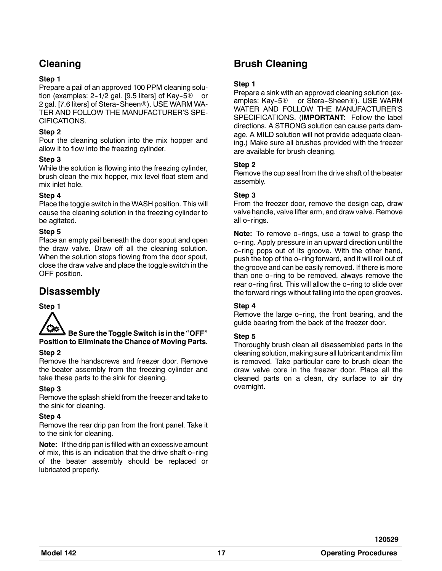# **Cleaning**

#### **Step 1**

Prepare a pail of an approved 100 PPM cleaning solution (examples:  $2-1/2$  gal. [9.5 liters] of Kay-5 $@$  or 2 gal. [7.6 liters] of Stera-Sheen®). USE WARM WA-TER AND FOLLOW THE MANUFACTURER'S SPE-CIFICATIONS.

#### **Step 2**

Pour the cleaning solution into the mix hopper and allow it to flow into the freezing cylinder.

#### **Step 3**

While the solution is flowing into the freezing cylinder, brush clean the mix hopper, mix level float stem and mix inlet hole.

#### **Step 4**

Place the toggle switch in the WASH position. This will cause the cleaning solution in the freezing cylinder to be agitated.

#### **Step 5**

Place an empty pail beneath the door spout and open the draw valve. Draw off all the cleaning solution. When the solution stops flowing from the door spout, close the draw valve and place the toggle switch in the OFF position.

# **Disassembly**



### **Be Sure the Toggle Switch is in the "OFF" Position to Eliminate the Chance of Moving Parts.**

#### **Step 2**

Remove the handscrews and freezer door. Remove the beater assembly from the freezing cylinder and take these parts to the sink for cleaning.

#### **Step 3**

Remove the splash shield from the freezer and take to the sink for cleaning.

#### **Step 4**

Remove the rear drip pan from the front panel. Take it to the sink for cleaning.

**Note:** If the drip pan is filled with an excessive amount of mix, this is an indication that the drive shaft o--ring of the beater assembly should be replaced or lubricated properly.

# **Brush Cleaning**

#### **Step 1**

Prepare a sink with an approved cleaning solution (examples: Kay-5® or Stera-Sheen®). USE WARM WATER AND FOLLOW THE MANUFACTURER'S SPECIFICATIONS. (**IMPORTANT:** Follow the label directions. A STRONG solution can cause parts damage. A MILD solution will not provide adequate cleaning.) Make sure all brushes provided with the freezer are available for brush cleaning.

#### **Step 2**

Remove the cup seal from the drive shaft of the beater assembly.

#### **Step 3**

From the freezer door, remove the design cap, draw valve handle, valve lifter arm, and draw valve. Remove all o-rings.

**Note:** To remove o-rings, use a towel to grasp the o--ring. Apply pressure in an upward direction until the o--ring pops out of its groove. With the other hand, push the top of the o--ring forward, and it will roll out of the groove and can be easily removed. If there is more than one o--ring to be removed, always remove the rear o-ring first. This will allow the o-ring to slide over the forward rings without falling into the open grooves.

#### **Step 4**

Remove the large o-ring, the front bearing, and the guide bearing from the back of the freezer door.

#### **Step 5**

Thoroughly brush clean all disassembled parts in the cleaning solution, making sure all lubricant and mix film is removed. Take particular care to brush clean the draw valve core in the freezer door. Place all the cleaned parts on a clean, dry surface to air dry overnight.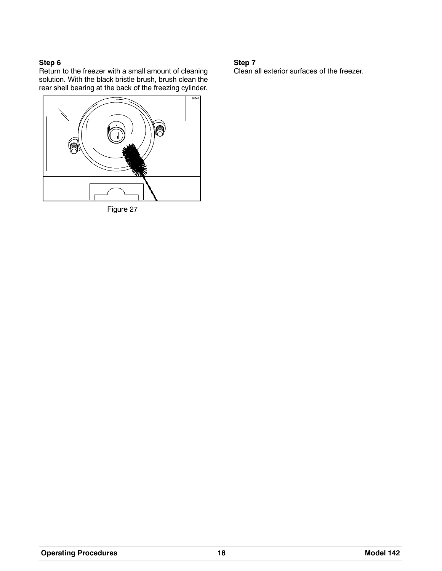#### **Step 6**

Return to the freezer with a small amount of cleaning solution. With the black bristle brush, brush clean the rear shell bearing at the back of the freezing cylinder.



Figure 27

#### **Step 7**

Clean all exterior surfaces of the freezer.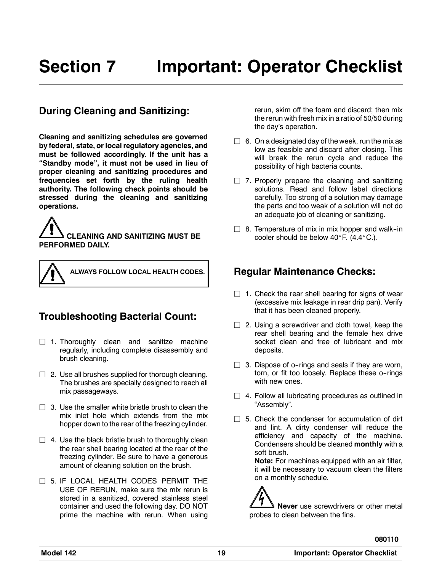# **During Cleaning and Sanitizing:**

**Cleaning and sanitizing schedules are governed by federal, state, or local regulatory agencies, and must be followed accordingly. If the unit has a "Standby mode", it must not be used in lieu of proper cleaning and sanitizing procedures and frequencies set forth by the ruling health authority. The following check points should be stressed during the cleaning and sanitizing operations.**

**CLEANING AND SANITIZING MUST BE PERFORMED DAILY.**



**ALWAYS FOLLOW LOCAL HEALTH CODES.**

# **Troubleshooting Bacterial Count:**

- $\Box$  1. Thoroughly clean and sanitize machine regularly, including complete disassembly and brush cleaning.
- $\Box$  2. Use all brushes supplied for thorough cleaning. The brushes are specially designed to reach all mix passageways.
- $\Box$  3. Use the smaller white bristle brush to clean the mix inlet hole which extends from the mix hopper down to the rear of the freezing cylinder.
- $\Box$  4. Use the black bristle brush to thoroughly clean the rear shell bearing located at the rear of the freezing cylinder. Be sure to have a generous amount of cleaning solution on the brush.
- $\Box$  5. IF LOCAL HEALTH CODES PERMIT THE USE OF RERUN, make sure the mix rerun is stored in a sanitized, covered stainless steel container and used the following day. DO NOT prime the machine with rerun. When using

rerun, skim off the foam and discard; then mix the rerun with fresh mix in a ratio of 50/50 during the day's operation.

- $\Box$  6. On a designated day of the week, run the mix as low as feasible and discard after closing. This will break the rerun cycle and reduce the possibility of high bacteria counts.
- $\Box$  7. Properly prepare the cleaning and sanitizing solutions. Read and follow label directions carefully. Too strong of a solution may damage the parts and too weak of a solution will not do an adequate job of cleaning or sanitizing.
- $\Box$  8. Temperature of mix in mix hopper and walk-in cooler should be below  $40^\circ$ F. (4.4 $^\circ$ C.).

# **Regular Maintenance Checks:**

- $\Box$  1. Check the rear shell bearing for signs of wear (excessive mix leakage in rear drip pan). Verify that it has been cleaned properly.
- $\Box$  2. Using a screwdriver and cloth towel, keep the rear shell bearing and the female hex drive socket clean and free of lubricant and mix deposits.
- $\Box$  3. Dispose of o-rings and seals if they are worn, torn, or fit too loosely. Replace these o-rings with new ones.
- $\Box$  4. Follow all lubricating procedures as outlined in "Assembly".
- $\Box$  5. Check the condenser for accumulation of dirt and lint. A dirty condenser will reduce the efficiency and capacity of the machine. Condensers should be cleaned **monthly** with a soft brush.

**Note:** For machines equipped with an air filter, it will be necessary to vacuum clean the filters on a monthly schedule.

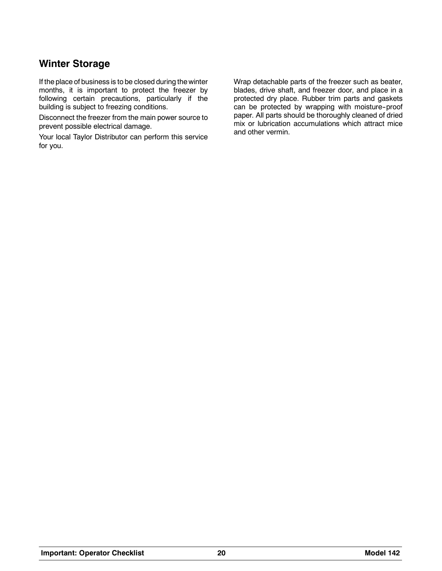# **Winter Storage**

If the place of business is to be closed during the winter months, it is important to protect the freezer by following certain precautions, particularly if the building is subject to freezing conditions.

Disconnect the freezer from the main power source to prevent possible electrical damage.

Your local Taylor Distributor can perform this service for you.

Wrap detachable parts of the freezer such as beater, blades, drive shaft, and freezer door, and place in a protected dry place. Rubber trim parts and gaskets can be protected by wrapping with moisture-proof paper. All parts should be thoroughly cleaned of dried mix or lubrication accumulations which attract mice and other vermin.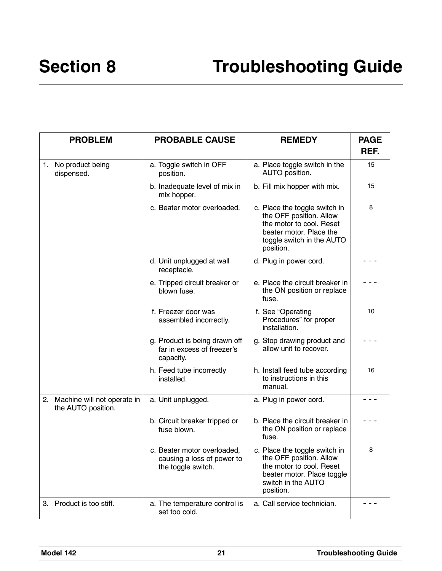| <b>PROBLEM</b>                                       | <b>PROBABLE CAUSE</b>                                                           | <b>REMEDY</b>                                                                                                                                             | <b>PAGE</b> |
|------------------------------------------------------|---------------------------------------------------------------------------------|-----------------------------------------------------------------------------------------------------------------------------------------------------------|-------------|
|                                                      |                                                                                 |                                                                                                                                                           | REF.        |
| 1. No product being<br>dispensed.                    | a. Toggle switch in OFF<br>position.                                            | a. Place toggle switch in the<br>AUTO position.                                                                                                           | 15          |
|                                                      | b. Inadequate level of mix in<br>mix hopper.                                    | b. Fill mix hopper with mix.                                                                                                                              | 15          |
|                                                      | c. Beater motor overloaded.                                                     | c. Place the toggle switch in<br>the OFF position. Allow<br>the motor to cool. Reset<br>beater motor. Place the<br>toggle switch in the AUTO<br>position. | 8           |
|                                                      | d. Unit unplugged at wall<br>receptacle.                                        | d. Plug in power cord.                                                                                                                                    |             |
|                                                      | e. Tripped circuit breaker or<br>blown fuse.                                    | e. Place the circuit breaker in<br>the ON position or replace<br>fuse.                                                                                    |             |
|                                                      | f. Freezer door was<br>assembled incorrectly.                                   | f. See "Operating<br>Procedures" for proper<br>installation.                                                                                              | 10          |
|                                                      | g. Product is being drawn off<br>far in excess of freezer's<br>capacity.        | g. Stop drawing product and<br>allow unit to recover.                                                                                                     |             |
|                                                      | h. Feed tube incorrectly<br>installed.                                          | h. Install feed tube according<br>to instructions in this<br>manual.                                                                                      | 16          |
| 2. Machine will not operate in<br>the AUTO position. | a. Unit unplugged.                                                              | a. Plug in power cord.                                                                                                                                    |             |
|                                                      | b. Circuit breaker tripped or<br>fuse blown.                                    | b. Place the circuit breaker in<br>the ON position or replace<br>fuse.                                                                                    |             |
|                                                      | c. Beater motor overloaded,<br>causing a loss of power to<br>the toggle switch. | c. Place the toggle switch in<br>the OFF position. Allow<br>the motor to cool. Reset<br>beater motor. Place toggle<br>switch in the AUTO<br>position.     | 8           |
| 3. Product is too stiff.                             | a. The temperature control is<br>set too cold.                                  | a. Call service technician.                                                                                                                               | - - -       |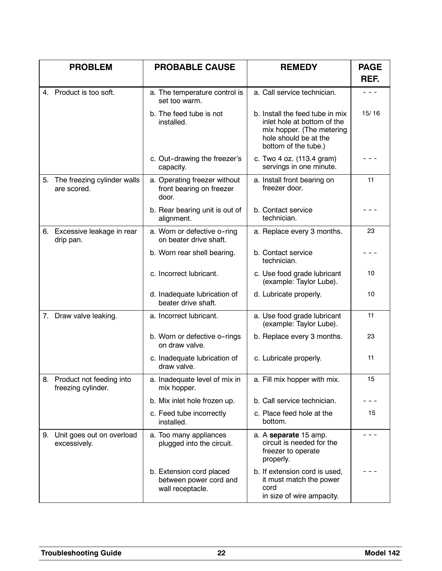|    | <b>PROBLEM</b>                                 | <b>PROBABLE CAUSE</b>                                                  | <b>REMEDY</b>                                                                                                                                | <b>PAGE</b><br>REF. |
|----|------------------------------------------------|------------------------------------------------------------------------|----------------------------------------------------------------------------------------------------------------------------------------------|---------------------|
|    | 4. Product is too soft.                        | a. The temperature control is<br>set too warm.                         | a. Call service technician.                                                                                                                  | $- - -$             |
|    |                                                | b. The feed tube is not<br>installed.                                  | b. Install the feed tube in mix<br>inlet hole at bottom of the<br>mix hopper. (The metering<br>hole should be at the<br>bottom of the tube.) | 15/16               |
|    |                                                | c. Out-drawing the freezer's<br>capacity.                              | c. Two 4 oz. (113.4 gram)<br>servings in one minute.                                                                                         |                     |
|    | 5. The freezing cylinder walls<br>are scored.  | a. Operating freezer without<br>front bearing on freezer<br>door.      | a. Install front bearing on<br>freezer door.                                                                                                 | 11                  |
|    |                                                | b. Rear bearing unit is out of<br>alignment.                           | b. Contact service<br>technician.                                                                                                            |                     |
|    | 6. Excessive leakage in rear<br>drip pan.      | a. Worn or defective o-ring<br>on beater drive shaft.                  | a. Replace every 3 months.                                                                                                                   | 23                  |
|    |                                                | b. Worn rear shell bearing.                                            | b. Contact service<br>technician.                                                                                                            |                     |
|    |                                                | c. Incorrect lubricant.                                                | c. Use food grade lubricant<br>(example: Taylor Lube).                                                                                       | 10                  |
|    |                                                | d. Inadequate lubrication of<br>beater drive shaft.                    | d. Lubricate properly.                                                                                                                       | 10                  |
|    | 7. Draw valve leaking.                         | a. Incorrect lubricant.                                                | a. Use food grade lubricant<br>(example: Taylor Lube).                                                                                       | 11                  |
|    |                                                | b. Worn or defective o-rings<br>on draw valve.                         | b. Replace every 3 months.                                                                                                                   | 23                  |
|    |                                                | c. Inadequate lubrication of<br>draw valve.                            | c. Lubricate properly.                                                                                                                       | 11                  |
| 8. | Product not feeding into<br>freezing cylinder. | a. Inadequate level of mix in<br>mix hopper.                           | a. Fill mix hopper with mix.                                                                                                                 | 15                  |
|    |                                                | b. Mix inlet hole frozen up.                                           | b. Call service technician.                                                                                                                  |                     |
|    |                                                | c. Feed tube incorrectly<br>installed.                                 | c. Place feed hole at the<br>bottom.                                                                                                         | 15                  |
|    | 9. Unit goes out on overload<br>excessively.   | a. Too many appliances<br>plugged into the circuit.                    | a. A separate 15 amp.<br>circuit is needed for the<br>freezer to operate<br>properly.                                                        |                     |
|    |                                                | b. Extension cord placed<br>between power cord and<br>wall receptacle. | b. If extension cord is used,<br>it must match the power<br>cord<br>in size of wire ampacity.                                                |                     |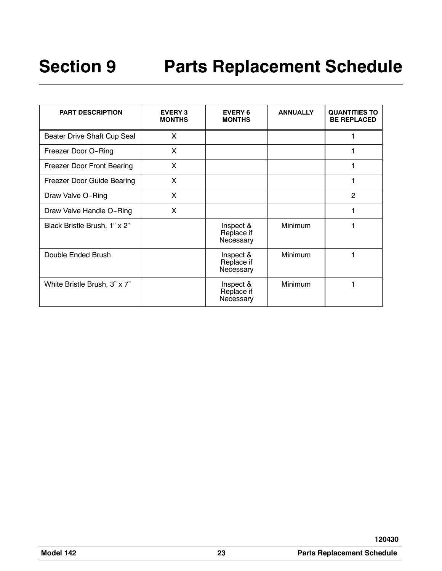| <b>PART DESCRIPTION</b>           | <b>EVERY 3</b><br><b>MONTHS</b> | <b>EVERY 6</b><br><b>MONTHS</b>      | <b>ANNUALLY</b> | <b>QUANTITIES TO</b><br><b>BE REPLACED</b> |
|-----------------------------------|---------------------------------|--------------------------------------|-----------------|--------------------------------------------|
| Beater Drive Shaft Cup Seal       | $\times$                        |                                      |                 |                                            |
| Freezer Door O-Ring               | X                               |                                      |                 |                                            |
| <b>Freezer Door Front Bearing</b> | X                               |                                      |                 |                                            |
| Freezer Door Guide Bearing        | X                               |                                      |                 |                                            |
| Draw Valve O-Ring                 | X                               |                                      |                 | $\overline{2}$                             |
| Draw Valve Handle O-Ring          | X                               |                                      |                 |                                            |
| Black Bristle Brush, 1" x 2"      |                                 | Inspect &<br>Replace if<br>Necessary | Minimum         |                                            |
| Double Ended Brush                |                                 | Inspect &<br>Replace if<br>Necessary | <b>Minimum</b>  |                                            |
| White Bristle Brush, 3" x 7"      |                                 | Inspect &<br>Replace if<br>Necessary | Minimum         |                                            |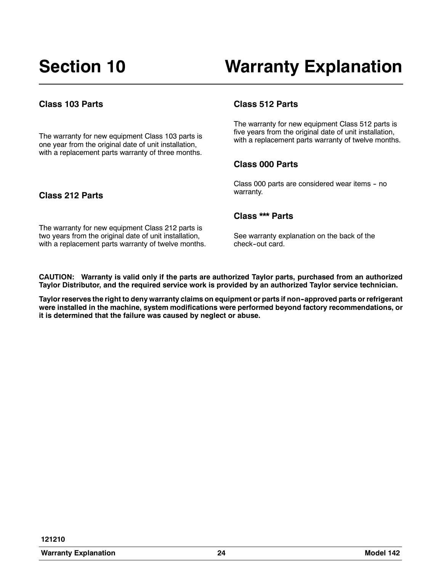### **Class 103 Parts**

The warranty for new equipment Class 103 parts is one year from the original date of unit installation, with a replacement parts warranty of three months.

#### **Class 512 Parts**

The warranty for new equipment Class 512 parts is five years from the original date of unit installation, with a replacement parts warranty of twelve months.

#### **Class 000 Parts**

Class 000 parts are considered wear items - no warranty.

## **Class 212 Parts**

#### **Class \*\*\* Parts**

The warranty for new equipment Class 212 parts is two years from the original date of unit installation, with a replacement parts warranty of twelve months.

See warranty explanation on the back of the check-out card.

**CAUTION: Warranty is valid only if the parts are authorized Taylor parts, purchased from an authorized Taylor Distributor, and the required service work is provided by an authorized Taylor service technician.**

**Taylor reserves the right to deny warranty claims on equipment or parts if non--approved parts or refrigerant were installed in the machine, system modifications were performed beyond factory recommendations, or it is determined that the failure was caused by neglect or abuse.**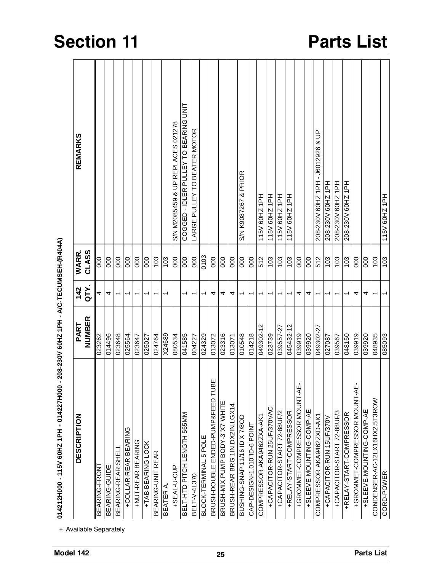| DESCRIPTION                                      | PART      | 142                      | WARR.          | REMARKS                               |
|--------------------------------------------------|-----------|--------------------------|----------------|---------------------------------------|
|                                                  | NUMBER    | QTY.                     | CLASS          |                                       |
| BEARING-FRONT                                    | 023262    | 4                        | 8              |                                       |
| BEARING-GUIDE                                    | 014496    | 4                        | 000            |                                       |
| BEARING-REAR SHEL                                | 023648    | T                        | 000            |                                       |
| +COLLAR-REAR BEARING                             | 025564    | ᡪ                        | 80             |                                       |
| +NUT-REAR BEARING                                | 023647    | ᡪ                        | 000            |                                       |
| +TAB-BEARING LOCK                                | 025027    | ↽                        | 000            |                                       |
| <b>REAR</b><br>BEARING-UNIT                      | 024764    | T                        | 103            |                                       |
| <b>BEATER A</b>                                  | X24689    | ↽                        | 103            |                                       |
| +SEAL-U-CUP                                      | 080534    |                          | 80             | S/N M2085459 & UP REPLACES 021278     |
| BELT-HTD PITCH LENGTH 565MM                      | 041585    | ↽                        | 000            | COGGED - IDLER PULLEY TO BEARING UNIT |
| BELT-V-4L370                                     | 004227    |                          | 000            | LARGE PULLEY TO BEATER MOTOR          |
| BLOCK-TERMINAL 5 POLE                            | 024329    | ٢                        | 0103           |                                       |
| ш<br><b>RALL</b><br>BRUSH-DOUBLE ENDED-PUMP&FEED | 013072    | 4                        | 000            |                                       |
| BRUSH-MIX PUMP BODY-3"X7"WHITE                   | 023316    | 4                        | $\overline{0}$ |                                       |
| BRUSH-REAR BRG 1IN.DX2IN.LGX14                   | 013071    | 4                        | 000            |                                       |
| BUSHING-SNAP 11/16 ID X 7/8OD                    | 010548    | $\overline{\phantom{0}}$ | 000            | S/N K9087267 & PRIOR                  |
| CAP-DESIGN-1.010"ID-6 POINT                      | 014218    | $\overline{\phantom{0}}$ | 80             |                                       |
| COMPRESSOR AKA9462ZXA-AK1                        | 049302-12 | $\overline{\phantom{0}}$ | 512            | 115V 60HZ 1PH                         |
| +CAPACITOR-RUN 25UF/370VAC                       | 023739    | $\overline{\phantom{0}}$ | 103            | 115V 60HZ 1PH                         |
| +CAPACITOR-START 72-88UF/2                       | 039557-27 | $\overline{\phantom{0}}$ | 103            | 115V 60HZ 1PH                         |
| +RELAY-START-COMPRESSOR                          | 045432-12 | $\overline{\phantom{0}}$ | 103            | 115V 60HZ 1PH                         |
| +GROMMET-COMPRESSOR MOUNT-AE-                    | 039919    | 4                        | 80             |                                       |
| +SLEEVE-MOUNTING-COMP-AE                         | 039920    | 4                        | 80             |                                       |
| COMPRESSOR AKA9462ZXD-AK1                        | 049302-27 | $\overline{\phantom{0}}$ | 512            | 208-230V 60HZ 1PH - J6012926 & UP     |
| +CAPACITOR-RUN 15UF/370V                         | 027087    | ٣                        | 103            | 208-230V 60HZ 1PH                     |
| +CAPACITOR-START 72-88UF/3                       | 039567    |                          | 103            | 208-230V 60HZ 1PH                     |
| +RELAY-START-COMPRESSOR                          | 048150    | ᡪ                        | 103            | 208-230V 60HZ 1PH                     |
| +GROMMET-COMPRESSOR MOUNT-AE                     | 039919    | 4                        | 000            |                                       |
| +SLEEVE-MOUNTING-COMP-AE                         | 039920    | 4                        | 000            |                                       |
| CONDENSER-AC-12LX16HX2.5T3ROW                    | 048935    | $\overline{\phantom{0}}$ | 103            |                                       |
| CORD-POWER                                       | 085093    |                          | 103            | 115V 60HZ 1PH                         |

# Section 11 Parts List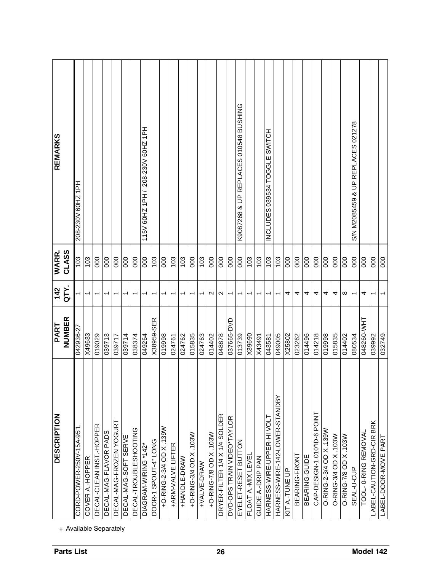| <b>Parts List</b> | <b>DESCRIPTION</b>                                 | NUMBER<br>PART | <b>NIC</b><br>142        | CLASS<br>WARR. | <b>REMARKS</b>                        |
|-------------------|----------------------------------------------------|----------------|--------------------------|----------------|---------------------------------------|
|                   | CORD-POWER-250V-15A-95"L<br>+ Available Separately | 042936-27      |                          | 103            | 208-230V 60HZ 1PH                     |
|                   | COVER A.-HOPPER                                    | X49633         | $\overline{ }$           | 103            |                                       |
|                   | DECAL-CLEAN INST.-HOPPER                           | 019029         | ↽                        | $\frac{0}{2}$  |                                       |
|                   | DECAL-MAG-FLAVOR PADS                              | 039713         | $\overline{\phantom{0}}$ | 000            |                                       |
|                   | DECAL-MAG-FROZEN YOGURT                            | 039717         | ↽                        | 000            |                                       |
|                   | DECAL-MAG-SOFT SERVE                               | 039714         | T                        | 000            |                                       |
|                   | DECAL-TROUBLESHOOTING                              | 038374         | ᡪ                        | 000            |                                       |
|                   | DIAGRAM-WIRING *142*                               | 049264         | $\overline{\phantom{0}}$ | 000            | 208-230V 60HZ 1PH<br>115V 60HZ 1PH    |
|                   | DOOR-1 SPOUT-4" LONG                               | X38959-SER     | $\overline{\phantom{0}}$ | 103            |                                       |
|                   | +O-RING-2-3/4 OD X .139W                           | 019998         | ٣                        | 000            |                                       |
|                   | +ARM-VALVE LIFTER                                  | 024761         | ↽                        | 103            |                                       |
|                   | +HANDLE-DRAW                                       | 024762         | $\overline{\phantom{0}}$ | 103            |                                       |
|                   | +O-RING-3/4 OD X .103W                             | 015835         | ۳                        | 000            |                                       |
|                   | +VALVE-DRAW                                        | 024763         | $\overline{ }$           | 103            |                                       |
|                   | +O-RING-7/8 OD X .103W                             | 014402         | ∾                        | 000            |                                       |
| 26                | DRYER-FILTER 1/4 X 1/4 SOLDER                      | 048878         | $\mathbf{\sim}$          | $\overline{0}$ |                                       |
|                   | <b>BOTAVL+OBGIN NIVAL SdO-GAG</b>                  | 037665-DVD     | $\overline{\phantom{0}}$ | 000            |                                       |
|                   | EYELET-RESET BUTTON                                | 013739         | $\overline{\phantom{0}}$ | 000            | K9087268 & UP REPLACES 010548 BUSHING |
|                   | FLOAT A.-MIX LEVEL                                 | X39690         | ٢                        | 103            |                                       |
|                   | GUIDE A.-DRIP PAN                                  | X43491         | $\overline{\phantom{0}}$ | 103            |                                       |
|                   | HARNESS-WIRE-UPPER-HIVOLT                          | 043581         | T                        | 103            | INCLUDES 039534 TOGGLE SWITCH         |
|                   | HARNESS-WIRE-142-LOWER-STANDBY                     | 049005         | $\overline{\phantom{0}}$ | 103            |                                       |
|                   | KIT A.-TUNE UP                                     | X25802         | 4                        | 000            |                                       |
|                   | BEARING-FRONT                                      | 023262         | 4                        | 80             |                                       |
|                   | BEARING-GUIDE                                      | 014496         | 4                        | 000            |                                       |
|                   | CAP-DESIGN-1.010"ID-6 POINT                        | 014218         | 4                        | 000            |                                       |
|                   | O-RING-2-3/4 OD X .139W                            | 019998         | 4                        | 000            |                                       |
|                   | O-RING-3/4 OD X.103W                               | 015835         | 4                        | 000            |                                       |
|                   | O-RING-7/8 OD X .103W                              | 014402         | ∞                        | 000            |                                       |
|                   | SEAL-U-CUP                                         | 080534         | $\overline{\phantom{0}}$ | 000            | S/N M2085459 & UP REPLACES 021278     |
|                   | TOOL- 0-RING REMOVAL                               | 048260-WHT     | 4                        | 000            |                                       |
| Model 142         | LABEL-CAUTION-GRD-CIR BRK                          | 039992         |                          | 000            |                                       |
|                   | LABEL-DOOR-MOVE PART                               | 032749         | $\overline{ }$           | $\overline{0}$ |                                       |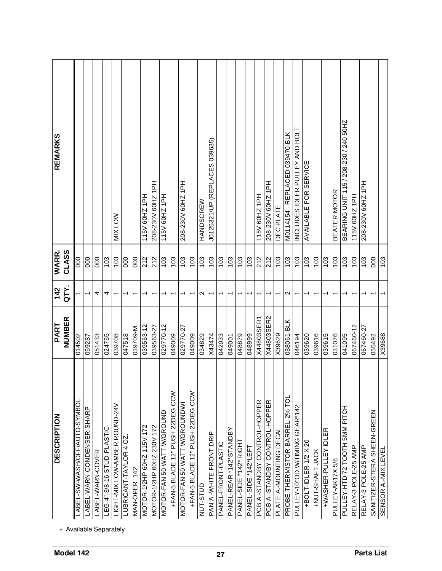| <b>REMARKS</b>                            |                              |                            |                  |                            | <b>MIX LOW</b>                |                                     |              | 115V 60HZ 1PH             | 208-230V 60HZ 1PH         | 115V 60HZ 1PH              |                                 | 208-230V 60HZ 1PH            |                                 | <b>HANDSCREW</b>  | J0125321/UP (REPLACES 039635) |                     |                         |                        |                      | 115V 60HZ 1PH                 | 208-230V 60HZ 1PH             | DEC PLATE                | M0114154 - REPLACED 039470-BLK | INCLUDES IDLER PULLEY AND BOLT | AVAILABLE FOR SERVICE |                 |                      | <b>BEATER MOTOR</b> | BEARING UNIT 115 / 208-230 / 240 50HZ | 115V 60HZ 1PH       | 208-230V 60HZ 1PH   |                             |                     |
|-------------------------------------------|------------------------------|----------------------------|------------------|----------------------------|-------------------------------|-------------------------------------|--------------|---------------------------|---------------------------|----------------------------|---------------------------------|------------------------------|---------------------------------|-------------------|-------------------------------|---------------------|-------------------------|------------------------|----------------------|-------------------------------|-------------------------------|--------------------------|--------------------------------|--------------------------------|-----------------------|-----------------|----------------------|---------------------|---------------------------------------|---------------------|---------------------|-----------------------------|---------------------|
| CLASS<br>WARR.                            | $\frac{000}{2}$              | 000                        | 000              | 103                        | 103                           | 000                                 | 000          | 212                       | 212                       | 103                        | 103                             | 103                          | 103                             | 103               | 103                           | 103                 | 103                     | 103                    | 103                  | 212                           | 212                           | 103                      | 103                            | 103                            | 103                   | 103             | 103                  | 103                 | 103                                   | 103                 | 103                 | 80                          | 103                 |
| QTY.<br>142                               |                              | $\overline{ }$             | 4                | 4                          | $\overline{\phantom{0}}$      | $\overline{\phantom{0}}$            |              | ↽                         | ᠆                         | ↽                          | $\overline{\phantom{0}}$        | $\overline{\phantom{0}}$     | $\overline{\phantom{0}}$        | $\mathbf{\Omega}$ | $\overline{\phantom{0}}$      |                     |                         |                        | ᠇                    | ↽                             | ↽                             | $\overline{\phantom{0}}$ | $\mathbf{\Omega}$              | $\overline{\phantom{0}}$       | ᠇                     | ᠇               | ᠆                    | ᠇                   | ↽                                     |                     | ᡪ                   |                             |                     |
| NUMBER<br>PART                            | 014502                       | 059287                     | 051433           | 024755                     | 039708                        | 047518                              | 039709-M     | 039563-12                 | 039563-27                 | 029770-12                  | 049009                          | 029770-27                    | 049009                          | 034829            | X43474                        | 042933              | 049001                  | 048879                 | 048999               | X44803SER1                    | X44803SER2                    | X39629                   | 038061-BLK                     | 046194                         | 039620                | 039616          | 039615               | 031076              | 041095                                | 067460-12           | 067460-27           | 055492                      | X39688              |
| <b>DESCRIPTION</b>                        | LABEL-SW-WASH/OFF/AUTO-SYMBO | LABEL-WARN-CONDENSER-SHARP | LABEL-WARN-COVER | LEG-4"-3/8-16 STUD-PLASTIC | LIGHT-MIX LOW-AMBER ROUND-24V | <b><i>LUBRICANT-TAYLOR 4 OZ</i></b> | MAN-OPER 142 | MOTOR-1/2HP 60HZ 115V 172 | MOTOR-1/2HP 60HZ 230V 172 | MOTOR-FAN 50 WATT W/GROUND | +FAN-5 BLADE 12" PUSH 22DEG CCW | MOTOR-FAN 50 WATT W/GROUNDWI | +FAN-5 BLADE 12" PUSH 22DEG CCW | NUT-STUD          | PAN A.-WHITE FRONT DRIP       | PANEL-FRONT-PLASTIC | PANEL-REAR *142*STANDBY | PANEL-SIDE *142* RIGHT | PANEL-SIDE *142*LEFT | PCB A.-STANDBY CONTROL-HOPPER | PCB A.-STANDBY CONTROL-HOPPER | PLATE A.-MOUNTING DECAL  | PROBE-THERMISTOR-BARREL-2% TOL | PULLEY-10"OD W/TIMING GEAR*142 | +BOLT-IDLER-1/2 X 20  | +NUT-SHAFT JACK | +WASHER-PULLEY IDLER | PULLEY-AK17X5/8     | 5MM PITCH<br>PULLEY-HTD 72 TOOTH      | RELAY-3 POLE-25 AMP | RELAY-3 POLE-25 AMP | SANITIZER-STERA SHEEN-GREEN | SENSOR A.-MIX LEVEL |
| + Available Separately<br>Model 142<br>27 |                              |                            |                  |                            |                               |                                     |              |                           |                           |                            |                                 |                              |                                 |                   |                               |                     |                         |                        |                      | <b>Parts List</b>             |                               |                          |                                |                                |                       |                 |                      |                     |                                       |                     |                     |                             |                     |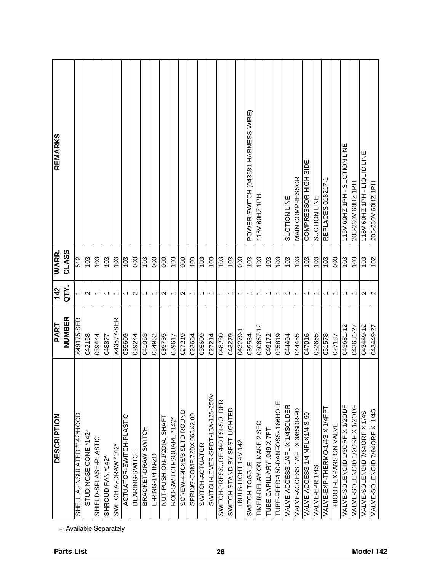| POWER SWITCH (043581 HARNESS-WIRE)<br>115V 60HZ 1PH - SUCTION LINE<br>115V 60HZ 1PH - LIQUID LINE<br>COMPRESSOR HIGH SIDE<br><b>MAIN COMPRESSOR</b><br>REPLACES 018217-1<br>208-230V 60HZ 1PH<br>208-230V 60HZ 1PH<br>115V 60HZ 1PH<br><b>SUCTION LINE</b><br>SUCTION LINE<br>103<br>103<br>103<br>103<br>103<br>103<br>103<br>103<br>103<br>103<br>103<br>103<br>103<br>102<br>103<br>000<br>103<br>000<br>103<br>000<br>103<br>103<br>80<br>103<br>103<br>103<br>103<br>103<br>103<br>$\frac{8}{2}$<br>$\frac{0}{2}$<br>$\mathbf{\Omega}$<br>$\mathbf{\Omega}$<br>$\mathbf{\Omega}$<br>$\mathbf{\Omega}$<br>$\mathbf{\Omega}$<br>N<br>$\overline{ }$<br>$\overline{\phantom{0}}$<br>$\overline{\phantom{0}}$<br>$\overline{ }$<br>$\overline{\phantom{0}}$<br>ᡪ<br>٢<br>ᡪ<br>$\overline{\phantom{0}}$<br>٢<br>ᡪ<br>٢<br>٣<br>$\overline{\phantom{0}}$<br>$\overline{\phantom{0}}$<br>٣<br>ᡪ<br>ᡪ<br>٣<br>ᡪ<br>ᡪ<br>ᡪ<br>X43577-SER<br>043449-12<br>030667-12<br>043681-12<br>043681-27<br>043449-27<br>043279-1<br>027219<br>023664<br>043279<br>049172<br>051578<br>042168<br>039444<br>035609<br>041063<br>034962<br>039735<br>035609<br>048230<br>039534<br>035819<br>044455<br>047016<br>022665<br>029244<br>027214<br>044404<br>039617<br>027137<br>048877<br>SWITCH-LEVER-SPDT-15A-125-250V<br>SWITCH-PRESSURE 440 PSI-SOLDER<br>TUBE-FEED-150-DANFOSS-.166HOLE<br>VALVE-SOLENOID 1/2ORF X 1/2ODF<br>VALVE-ACCESS 1/4FL X 1/4SOLDER<br>VALVE-SOLENOID 1/20RF X 1/20DF<br>VALVE-EXP-THERMO-1/4S X 1/4FPT<br>SWITCH-STAND BY SPST-LIGHTED<br>VALVE-ACCESS 1/4FL X 3/8SDR-90<br><b>1/4S</b><br>VALVE-SOLENOID 7/64ORF X 1/4S<br>SCREW-4-40X5/8 SLTD ROUND<br>VALVE-ACCESS-1/4 MFLX1/4 S-90<br>SPRING-COMP.720X.063X2.00<br>ACTUATOR-SWITCH-PLASTIC<br>NUT-PUSH ON-1/2DIA. SHAFT<br>ROD-SWITCH-SQUARE *142*<br>TIMER-DELAY ON MAKE 2 SEC<br>+BOOT-EXPANSION VALVE<br>VALVE-SOLENOID 7/64ORF X<br>BRACKET-DRAW SWITCH<br>TUBE-CAPILLARY .049 X 7FT<br>STUD-NOSE CONE *142*<br>SHIELD-SPLASH-PLASTIC<br>+BULB-LIGHT 14V 142<br>SWITCH-ACTUATOR<br>SWITCH A-DRAW *142*<br>BEARING-SWITCH<br>E-RING-1/4 IN-ZD<br>SHROUD-FAN *142*<br>SWITCH-TOGGLE<br>VALVE-EPR 1/4S<br>+ Available Separately | <b>DESCRIPTION</b>           | NUMBER<br>PART | QTY.<br>142    | CLASS<br><b>WARR</b> | REMARKS |
|------------------------------------------------------------------------------------------------------------------------------------------------------------------------------------------------------------------------------------------------------------------------------------------------------------------------------------------------------------------------------------------------------------------------------------------------------------------------------------------------------------------------------------------------------------------------------------------------------------------------------------------------------------------------------------------------------------------------------------------------------------------------------------------------------------------------------------------------------------------------------------------------------------------------------------------------------------------------------------------------------------------------------------------------------------------------------------------------------------------------------------------------------------------------------------------------------------------------------------------------------------------------------------------------------------------------------------------------------------------------------------------------------------------------------------------------------------------------------------------------------------------------------------------------------------------------------------------------------------------------------------------------------------------------------------------------------------------------------------------------------------------------------------------------------------------------------------------------------------------------------------------------------------------------------------------------------------------------------------------------------------------------------------------------------------------------------------------------------------------------------------------------------------------------------------------------|------------------------------|----------------|----------------|----------------------|---------|
|                                                                                                                                                                                                                                                                                                                                                                                                                                                                                                                                                                                                                                                                                                                                                                                                                                                                                                                                                                                                                                                                                                                                                                                                                                                                                                                                                                                                                                                                                                                                                                                                                                                                                                                                                                                                                                                                                                                                                                                                                                                                                                                                                                                                | SHELL A.-INSULATED *142*HOOD | X49175-SER     | $\overline{ }$ | 512                  |         |
|                                                                                                                                                                                                                                                                                                                                                                                                                                                                                                                                                                                                                                                                                                                                                                                                                                                                                                                                                                                                                                                                                                                                                                                                                                                                                                                                                                                                                                                                                                                                                                                                                                                                                                                                                                                                                                                                                                                                                                                                                                                                                                                                                                                                |                              |                |                |                      |         |
|                                                                                                                                                                                                                                                                                                                                                                                                                                                                                                                                                                                                                                                                                                                                                                                                                                                                                                                                                                                                                                                                                                                                                                                                                                                                                                                                                                                                                                                                                                                                                                                                                                                                                                                                                                                                                                                                                                                                                                                                                                                                                                                                                                                                |                              |                |                |                      |         |
|                                                                                                                                                                                                                                                                                                                                                                                                                                                                                                                                                                                                                                                                                                                                                                                                                                                                                                                                                                                                                                                                                                                                                                                                                                                                                                                                                                                                                                                                                                                                                                                                                                                                                                                                                                                                                                                                                                                                                                                                                                                                                                                                                                                                |                              |                |                |                      |         |
|                                                                                                                                                                                                                                                                                                                                                                                                                                                                                                                                                                                                                                                                                                                                                                                                                                                                                                                                                                                                                                                                                                                                                                                                                                                                                                                                                                                                                                                                                                                                                                                                                                                                                                                                                                                                                                                                                                                                                                                                                                                                                                                                                                                                |                              |                |                |                      |         |
|                                                                                                                                                                                                                                                                                                                                                                                                                                                                                                                                                                                                                                                                                                                                                                                                                                                                                                                                                                                                                                                                                                                                                                                                                                                                                                                                                                                                                                                                                                                                                                                                                                                                                                                                                                                                                                                                                                                                                                                                                                                                                                                                                                                                |                              |                |                |                      |         |
|                                                                                                                                                                                                                                                                                                                                                                                                                                                                                                                                                                                                                                                                                                                                                                                                                                                                                                                                                                                                                                                                                                                                                                                                                                                                                                                                                                                                                                                                                                                                                                                                                                                                                                                                                                                                                                                                                                                                                                                                                                                                                                                                                                                                |                              |                |                |                      |         |
|                                                                                                                                                                                                                                                                                                                                                                                                                                                                                                                                                                                                                                                                                                                                                                                                                                                                                                                                                                                                                                                                                                                                                                                                                                                                                                                                                                                                                                                                                                                                                                                                                                                                                                                                                                                                                                                                                                                                                                                                                                                                                                                                                                                                |                              |                |                |                      |         |
|                                                                                                                                                                                                                                                                                                                                                                                                                                                                                                                                                                                                                                                                                                                                                                                                                                                                                                                                                                                                                                                                                                                                                                                                                                                                                                                                                                                                                                                                                                                                                                                                                                                                                                                                                                                                                                                                                                                                                                                                                                                                                                                                                                                                |                              |                |                |                      |         |
|                                                                                                                                                                                                                                                                                                                                                                                                                                                                                                                                                                                                                                                                                                                                                                                                                                                                                                                                                                                                                                                                                                                                                                                                                                                                                                                                                                                                                                                                                                                                                                                                                                                                                                                                                                                                                                                                                                                                                                                                                                                                                                                                                                                                |                              |                |                |                      |         |
|                                                                                                                                                                                                                                                                                                                                                                                                                                                                                                                                                                                                                                                                                                                                                                                                                                                                                                                                                                                                                                                                                                                                                                                                                                                                                                                                                                                                                                                                                                                                                                                                                                                                                                                                                                                                                                                                                                                                                                                                                                                                                                                                                                                                |                              |                |                |                      |         |
|                                                                                                                                                                                                                                                                                                                                                                                                                                                                                                                                                                                                                                                                                                                                                                                                                                                                                                                                                                                                                                                                                                                                                                                                                                                                                                                                                                                                                                                                                                                                                                                                                                                                                                                                                                                                                                                                                                                                                                                                                                                                                                                                                                                                |                              |                |                |                      |         |
|                                                                                                                                                                                                                                                                                                                                                                                                                                                                                                                                                                                                                                                                                                                                                                                                                                                                                                                                                                                                                                                                                                                                                                                                                                                                                                                                                                                                                                                                                                                                                                                                                                                                                                                                                                                                                                                                                                                                                                                                                                                                                                                                                                                                |                              |                |                |                      |         |
|                                                                                                                                                                                                                                                                                                                                                                                                                                                                                                                                                                                                                                                                                                                                                                                                                                                                                                                                                                                                                                                                                                                                                                                                                                                                                                                                                                                                                                                                                                                                                                                                                                                                                                                                                                                                                                                                                                                                                                                                                                                                                                                                                                                                |                              |                |                |                      |         |
|                                                                                                                                                                                                                                                                                                                                                                                                                                                                                                                                                                                                                                                                                                                                                                                                                                                                                                                                                                                                                                                                                                                                                                                                                                                                                                                                                                                                                                                                                                                                                                                                                                                                                                                                                                                                                                                                                                                                                                                                                                                                                                                                                                                                |                              |                |                |                      |         |
|                                                                                                                                                                                                                                                                                                                                                                                                                                                                                                                                                                                                                                                                                                                                                                                                                                                                                                                                                                                                                                                                                                                                                                                                                                                                                                                                                                                                                                                                                                                                                                                                                                                                                                                                                                                                                                                                                                                                                                                                                                                                                                                                                                                                |                              |                |                |                      |         |
|                                                                                                                                                                                                                                                                                                                                                                                                                                                                                                                                                                                                                                                                                                                                                                                                                                                                                                                                                                                                                                                                                                                                                                                                                                                                                                                                                                                                                                                                                                                                                                                                                                                                                                                                                                                                                                                                                                                                                                                                                                                                                                                                                                                                |                              |                |                |                      |         |
|                                                                                                                                                                                                                                                                                                                                                                                                                                                                                                                                                                                                                                                                                                                                                                                                                                                                                                                                                                                                                                                                                                                                                                                                                                                                                                                                                                                                                                                                                                                                                                                                                                                                                                                                                                                                                                                                                                                                                                                                                                                                                                                                                                                                |                              |                |                |                      |         |
|                                                                                                                                                                                                                                                                                                                                                                                                                                                                                                                                                                                                                                                                                                                                                                                                                                                                                                                                                                                                                                                                                                                                                                                                                                                                                                                                                                                                                                                                                                                                                                                                                                                                                                                                                                                                                                                                                                                                                                                                                                                                                                                                                                                                |                              |                |                |                      |         |
|                                                                                                                                                                                                                                                                                                                                                                                                                                                                                                                                                                                                                                                                                                                                                                                                                                                                                                                                                                                                                                                                                                                                                                                                                                                                                                                                                                                                                                                                                                                                                                                                                                                                                                                                                                                                                                                                                                                                                                                                                                                                                                                                                                                                |                              |                |                |                      |         |
|                                                                                                                                                                                                                                                                                                                                                                                                                                                                                                                                                                                                                                                                                                                                                                                                                                                                                                                                                                                                                                                                                                                                                                                                                                                                                                                                                                                                                                                                                                                                                                                                                                                                                                                                                                                                                                                                                                                                                                                                                                                                                                                                                                                                |                              |                |                |                      |         |
|                                                                                                                                                                                                                                                                                                                                                                                                                                                                                                                                                                                                                                                                                                                                                                                                                                                                                                                                                                                                                                                                                                                                                                                                                                                                                                                                                                                                                                                                                                                                                                                                                                                                                                                                                                                                                                                                                                                                                                                                                                                                                                                                                                                                |                              |                |                |                      |         |
|                                                                                                                                                                                                                                                                                                                                                                                                                                                                                                                                                                                                                                                                                                                                                                                                                                                                                                                                                                                                                                                                                                                                                                                                                                                                                                                                                                                                                                                                                                                                                                                                                                                                                                                                                                                                                                                                                                                                                                                                                                                                                                                                                                                                |                              |                |                |                      |         |
|                                                                                                                                                                                                                                                                                                                                                                                                                                                                                                                                                                                                                                                                                                                                                                                                                                                                                                                                                                                                                                                                                                                                                                                                                                                                                                                                                                                                                                                                                                                                                                                                                                                                                                                                                                                                                                                                                                                                                                                                                                                                                                                                                                                                |                              |                |                |                      |         |
|                                                                                                                                                                                                                                                                                                                                                                                                                                                                                                                                                                                                                                                                                                                                                                                                                                                                                                                                                                                                                                                                                                                                                                                                                                                                                                                                                                                                                                                                                                                                                                                                                                                                                                                                                                                                                                                                                                                                                                                                                                                                                                                                                                                                |                              |                |                |                      |         |
|                                                                                                                                                                                                                                                                                                                                                                                                                                                                                                                                                                                                                                                                                                                                                                                                                                                                                                                                                                                                                                                                                                                                                                                                                                                                                                                                                                                                                                                                                                                                                                                                                                                                                                                                                                                                                                                                                                                                                                                                                                                                                                                                                                                                |                              |                |                |                      |         |
|                                                                                                                                                                                                                                                                                                                                                                                                                                                                                                                                                                                                                                                                                                                                                                                                                                                                                                                                                                                                                                                                                                                                                                                                                                                                                                                                                                                                                                                                                                                                                                                                                                                                                                                                                                                                                                                                                                                                                                                                                                                                                                                                                                                                |                              |                |                |                      |         |
|                                                                                                                                                                                                                                                                                                                                                                                                                                                                                                                                                                                                                                                                                                                                                                                                                                                                                                                                                                                                                                                                                                                                                                                                                                                                                                                                                                                                                                                                                                                                                                                                                                                                                                                                                                                                                                                                                                                                                                                                                                                                                                                                                                                                |                              |                |                |                      |         |
|                                                                                                                                                                                                                                                                                                                                                                                                                                                                                                                                                                                                                                                                                                                                                                                                                                                                                                                                                                                                                                                                                                                                                                                                                                                                                                                                                                                                                                                                                                                                                                                                                                                                                                                                                                                                                                                                                                                                                                                                                                                                                                                                                                                                |                              |                |                |                      |         |
|                                                                                                                                                                                                                                                                                                                                                                                                                                                                                                                                                                                                                                                                                                                                                                                                                                                                                                                                                                                                                                                                                                                                                                                                                                                                                                                                                                                                                                                                                                                                                                                                                                                                                                                                                                                                                                                                                                                                                                                                                                                                                                                                                                                                |                              |                |                |                      |         |
|                                                                                                                                                                                                                                                                                                                                                                                                                                                                                                                                                                                                                                                                                                                                                                                                                                                                                                                                                                                                                                                                                                                                                                                                                                                                                                                                                                                                                                                                                                                                                                                                                                                                                                                                                                                                                                                                                                                                                                                                                                                                                                                                                                                                |                              |                |                |                      |         |
|                                                                                                                                                                                                                                                                                                                                                                                                                                                                                                                                                                                                                                                                                                                                                                                                                                                                                                                                                                                                                                                                                                                                                                                                                                                                                                                                                                                                                                                                                                                                                                                                                                                                                                                                                                                                                                                                                                                                                                                                                                                                                                                                                                                                |                              |                |                |                      |         |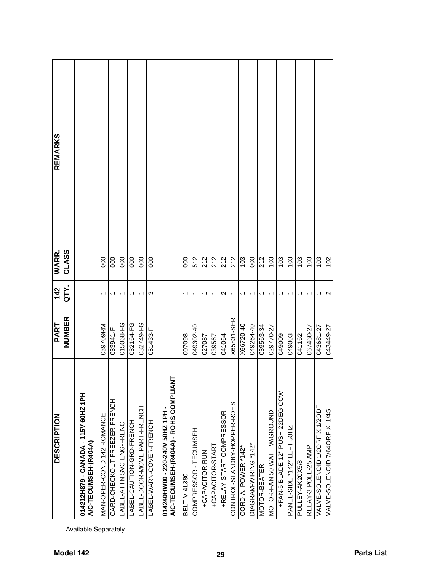| Model 142         | <b>DESCRIPTION</b>                                                                    | NUMBER<br>PART | QTY.<br>142              | CLASS<br>WARR.  | <b>REMARKS</b> |
|-------------------|---------------------------------------------------------------------------------------|----------------|--------------------------|-----------------|----------------|
|                   | 014212H879 - CANADA - 115V 60HZ 1PH<br>A/C-TECUMSEH-(R404A)<br>+ Available Separately |                |                          |                 |                |
|                   | MAN-OPER-COND 142 ROMANCE                                                             | 039709RM       | ↽                        | 000             |                |
|                   | CARD-CHECKOUT FREEZER FRENCH                                                          | 033941-F       |                          | $\overline{0}0$ |                |
|                   | LABEL-ATTN SVC ENG-FRENCH                                                             | 015068-FG      | ↽                        | 000             |                |
|                   | LABEL-CAUTION-GRD-FRENCH                                                              | 032164-FG      | ᡪ                        | 000             |                |
|                   | LABEL-DOOR-MOVE PART-FRENCH                                                           | 032749-FG      | $\overline{\phantom{0}}$ | 000             |                |
|                   | LABEL-WARN-COVER-FRENCH                                                               | 051433-F       | ω                        | 000             |                |
|                   | 눌<br>A/C-TECUMSEH-(R404A) - ROHS COMPLIA<br>014240HW00 - 220-240V 50HZ 1PH            |                |                          |                 |                |
|                   | <b>BELT-V-4L380</b>                                                                   | 860700         |                          | 000             |                |
|                   | COMPRESSOR - TECUMSEH                                                                 | 049302-40      | T                        | 512             |                |
|                   | +CAPACITOR-RUN                                                                        | 027087         | ↽                        | 212             |                |
|                   | +CAPACITOR-START                                                                      | 039567         | ↽                        | 212             |                |
| 29                | +RELAY-START-COMPRESSOR                                                               | 041064         | $\mathbf{\Omega}$        | 212             |                |
|                   | CONTROL-STANDBY-HOPPER-ROHS                                                           | X65831-SER     | T                        | 212             |                |
|                   | CORD A.-POWER *142*                                                                   | X66720-40      | ↽                        | 103             |                |
|                   | $*142*$<br>DIAGRAM-WIRING                                                             | 049264-40      | ↽                        | 000             |                |
|                   | <b>MOTOR-BEATER</b>                                                                   | 039563-34      |                          | 212             |                |
|                   | MOTOR-FAN 50 WATT W/GROUND                                                            | 029770-27      | T                        | 103             |                |
|                   | CCW<br>+FAN-5 BLADE 12" PUSH 22DEG                                                    | 049009         | ↽                        | 103             |                |
|                   | PANEL-SIDE *142* LEFT 50HZ                                                            | 049003         | ٣                        | 103             |                |
|                   | PULLEY-AK20X5/8                                                                       | 041162         |                          | 103             |                |
|                   | RELAY-3 POLE-25 AMP                                                                   | 067460-27      | ᡪ                        | 103             |                |
|                   | VALVE-SOLENOID 1/2ORF X 1/2ODF                                                        | 043681-27      | ᡪ                        | 103             |                |
|                   | <b>1/4S</b><br>VALVE-SOLENOID 7/64ORF X                                               | 043449-27      | $\mathbf{\Omega}$        | 102             |                |
| <b>Parts List</b> |                                                                                       |                |                          |                 |                |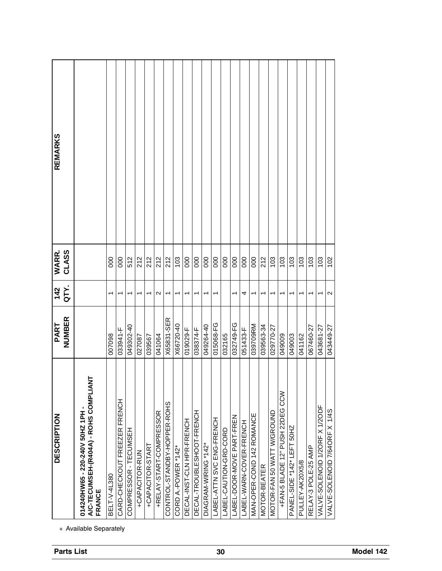| <b>Parts List</b>      | <b>DESCRIPTION</b>                                                                          | NUMBER<br>PART | QTY.<br>142              | CLASS<br>WARR. | REMARKS |
|------------------------|---------------------------------------------------------------------------------------------|----------------|--------------------------|----------------|---------|
| + Available Separately | 눌<br>A/C-TECUMSEH-(R404A) - ROHS COMPLIA<br>014240HW65 - 220-240V 50HZ 1PH<br><b>FRANCE</b> |                |                          |                |         |
|                        | BELT-V-4L380                                                                                | 007098         | ᡪ                        | 000            |         |
|                        | CARD-CHECKOUT FREEZER FRENCH                                                                | 033941-F       | ᡪ                        | 000            |         |
|                        | COMPRESSOR - TECUMSEH                                                                       | 049302-40      | ᡪ                        | 512            |         |
|                        | +CAPACITOR-RUN                                                                              | 027087         |                          | 212            |         |
|                        | +CAPACITOR-START                                                                            | 039567         | ᡪ                        | 212            |         |
|                        | +RELAY-START-COMPRESSOR                                                                     | 041064         | $\mathbf{\sim}$          | 212            |         |
|                        | CONTROL-STANDBY-HOPPER-ROHS                                                                 | X65831-SER     | ↽                        | 212            |         |
|                        | CORD A.-POWER *142*                                                                         | X66720-40      | T                        | 103            |         |
|                        | DECAL-INST-CLN HPR-FRENCH                                                                   | 019029-F       | T                        | 000            |         |
|                        | DECAL-TROUBLESHOOT-FRENCH                                                                   | 038374-F       | T                        | 000            |         |
|                        | DIAGRAM-WIRING *142*                                                                        | 049264-40      | ٣                        | 000            |         |
| 30                     | LABEL-ATTN SVC ENG-FRENCH                                                                   | 015068-FG      |                          | 000            |         |
|                        | LABEL-CAUTION-GRO-CORD                                                                      | 032165         |                          | 000            |         |
|                        | LABEL-DOOR-MOVE PART-FREN                                                                   | 032749-FG      | $\overline{\phantom{0}}$ | 000            |         |
|                        | LABEL-WARN-COVER-FRENCH                                                                     | 051433-F       | 4                        | 000            |         |
|                        | MAN-OPER-COND 142 ROMANCE                                                                   | 039709RM       | T                        | 000            |         |
|                        | MOTOR-BEATER                                                                                | 039563-34      | ↽                        | 212            |         |
|                        | MOTOR-FAN 50 WATT W/GROUND                                                                  | 029770-27      | ٣                        | 103            |         |
|                        | CCM<br>+FAN-5 BLADE 12" PUSH 22DEG                                                          | 049009         | ᡪ                        | 103            |         |
|                        | PANEL-SIDE *142* LEFT 50HZ                                                                  | 049003         |                          | 103            |         |
|                        | PULLEY-AK20X5/8                                                                             | 041162         | ᠇                        | 103            |         |
|                        | RELAY-3 POLE-25 AMP                                                                         | 067460-27      | ᡪ                        | 103            |         |
|                        | VALVE-SOLENOID 1/2ORF X 1/2ODF                                                              | 043681-27      | ᡪ                        | 103            |         |
|                        | VALVE-SOLENOID 7/64ORF X 1/4S                                                               | 043449-27      | $\mathbf{\Omega}$        | 102            |         |
| Model 142              |                                                                                             |                |                          |                |         |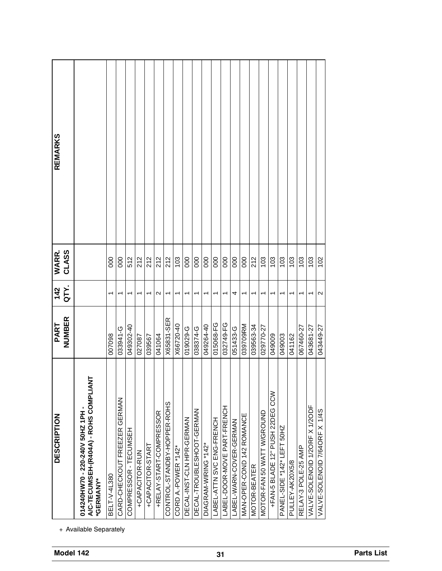| Model 142         | <b>DESCRIPTION</b>                                                                                                | NUMBER<br>PART | QTY.<br>142              | CLASS<br>WARR. | <b>REMARKS</b> |
|-------------------|-------------------------------------------------------------------------------------------------------------------|----------------|--------------------------|----------------|----------------|
|                   | 눈<br>A/C-TECUMSEH-(R404A) - ROHS COMPLIA<br>014240HW70 - 220-240V 50HZ 1PH<br>*GERMANY*<br>+ Available Separately |                |                          |                |                |
|                   | BELT-V-4L380                                                                                                      | 007098         |                          | 000            |                |
|                   | GERMAN<br>CARD-CHECKOUT FREEZER                                                                                   | 033941-G       | ᡪ                        | 000            |                |
|                   | COMPRESSOR - TECUMSEH                                                                                             | 049302-40      | ᡪ                        | 512            |                |
|                   | +CAPACITOR-RUN                                                                                                    | 027087         |                          | 212            |                |
|                   | +CAPACITOR-START                                                                                                  | 039567         | ᡪ                        | 212            |                |
|                   | +RELAY-START-COMPRESSOR                                                                                           | 041064         | N                        | 212            |                |
|                   | CONTROL-STANDBY-HOPPER-ROHS                                                                                       | X65831-SER     | $\overline{\phantom{0}}$ | 212            |                |
|                   | CORD A.-POWER *142*                                                                                               | X66720-40      | $\overline{ }$           | 103            |                |
|                   | DECAL-INST-CLN HPR-GERMAN                                                                                         | 019029-G       | $\overline{\phantom{0}}$ | 000            |                |
|                   | DECAL-TROUBLESHOOT-GERMAN                                                                                         | 038374-G       | $\overline{\phantom{0}}$ | 000            |                |
|                   | DIAGRAM-WIRING *142*                                                                                              | 049264-40      | T                        | 000            |                |
|                   | LABEL-ATTN SVC ENG-FRENCH                                                                                         | 015068-FG      | ↽                        | 000            |                |
| 31                | LABEL-DOOR-MOVE PART-FRENCH                                                                                       | 032749-FG      | T                        | 000            |                |
|                   | ABEL-WARN-COVER-GERMAN                                                                                            | 051433-G       | 4                        | 000            |                |
|                   | MAN-OPER-COND 142 ROMANCE                                                                                         | 039709RM       | ↽                        | 000            |                |
|                   | MOTOR-BEATER                                                                                                      | 039563-34      | ↽                        | 212            |                |
|                   | MOTOR-FAN 50 WATT W/GROUND                                                                                        | 029770-27      | ᡪ                        | 103            |                |
|                   | <b>NCC</b><br>+FAN-5 BLADE 12" PUSH 22DEG                                                                         | 049009         | ᡪ                        | 103            |                |
|                   | PANEL-SIDE *142* LEFT 50HZ                                                                                        | 049003         | ᠇                        | 103            |                |
|                   | PULLEY-AK20X5/8                                                                                                   | 041162         |                          | 103            |                |
|                   | RELAY-3 POLE-25 AMP                                                                                               | 067460-27      | ᡪ                        | 103            |                |
|                   | VALVE-SOLENOID 1/2ORF X 1/2ODF                                                                                    | 043681-27      | ᡪ                        | 103            |                |
|                   | <b>1/4S</b><br>VALVE-SOLENOID 7/64ORF X                                                                           | 043449-27      | $\mathbf{\Omega}$        | 102            |                |
| <b>Parts List</b> |                                                                                                                   |                |                          |                |                |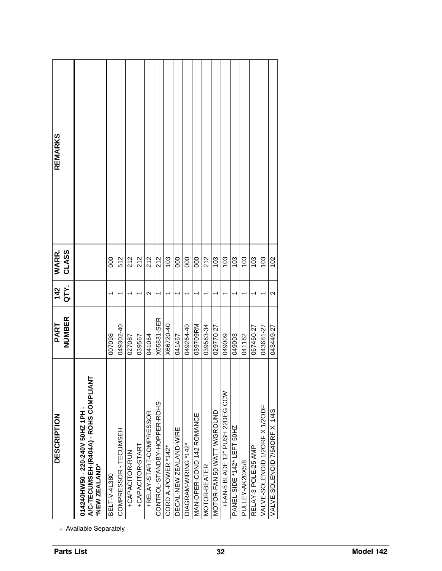| REMARKS                                                                                                                                                                                                                                                                                                            |                       |
|--------------------------------------------------------------------------------------------------------------------------------------------------------------------------------------------------------------------------------------------------------------------------------------------------------------------|-----------------------|
|                                                                                                                                                                                                                                                                                                                    |                       |
|                                                                                                                                                                                                                                                                                                                    |                       |
|                                                                                                                                                                                                                                                                                                                    |                       |
|                                                                                                                                                                                                                                                                                                                    |                       |
|                                                                                                                                                                                                                                                                                                                    |                       |
|                                                                                                                                                                                                                                                                                                                    |                       |
|                                                                                                                                                                                                                                                                                                                    |                       |
|                                                                                                                                                                                                                                                                                                                    |                       |
|                                                                                                                                                                                                                                                                                                                    |                       |
|                                                                                                                                                                                                                                                                                                                    |                       |
|                                                                                                                                                                                                                                                                                                                    |                       |
|                                                                                                                                                                                                                                                                                                                    |                       |
|                                                                                                                                                                                                                                                                                                                    |                       |
|                                                                                                                                                                                                                                                                                                                    |                       |
|                                                                                                                                                                                                                                                                                                                    |                       |
|                                                                                                                                                                                                                                                                                                                    |                       |
|                                                                                                                                                                                                                                                                                                                    |                       |
|                                                                                                                                                                                                                                                                                                                    |                       |
|                                                                                                                                                                                                                                                                                                                    |                       |
| 212<br>512<br>212<br>212<br>212<br>103<br>000<br>000<br>000<br>212<br>103<br>103<br>103<br>000<br>103<br>$\mathbf{\Omega}$<br>↽<br>$\overline{\phantom{0}}$<br>↽<br>ᡪ<br>↽<br>T<br>↽<br>٣<br>↽<br>T<br>↽<br>↽<br>↽<br>T<br>X65831-SER<br>X66720-40<br>039709RM<br>049264-40<br>049302-40<br>039563-34<br>029770-27 | 103<br>↽<br>067460-27 |